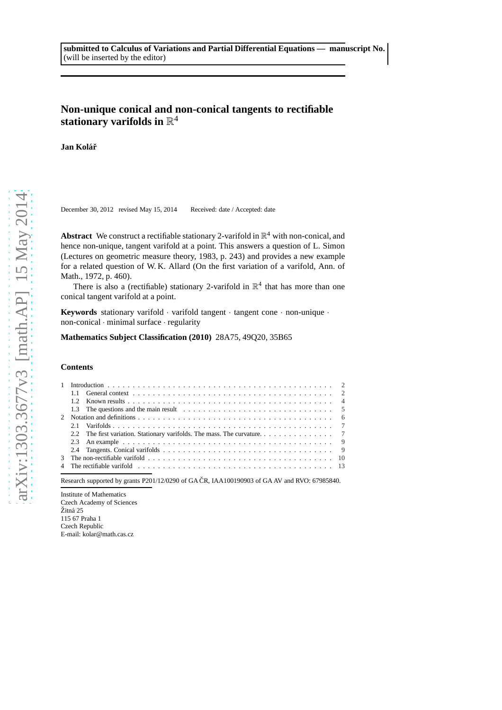# **Non-unique conical and non-conical tangents to rectifiable** stationary varifolds in  $\mathbb{R}^4$

Jan Kolář

December 30, 2012 revised May 15, 2014 Received: date / Accepted: date

**Abstract** We construct a rectifiable stationary 2-varifold in  $\mathbb{R}^4$  with non-conical, and hence non-unique, tangent varifold at a point. This answers a question of L. Simon (Lectures on geometric measure theory, 1983, p. 243) and provides a new example for a related question of W. K. Allard (On the first variation of a varifold, Ann. of Math., 1972, p. 460).

There is also a (rectifiable) stationary 2-varifold in  $\mathbb{R}^4$  that has more than one conical tangent varifold at a point.

**Keywords** stationary varifold · varifold tangent · tangent cone · non-unique · non-conical · minimal surface · regularity

**Mathematics Subject Classification (2010)** 28A75, 49Q20, 35B65

#### **Contents**

Research supported by grants P201/12/0290 of GA ČR, IAA100190903 of GA AV and RVO: 67985840.

Institute of Mathematics Czech Academy of Sciences Žitná 25 115 67 Praha 1 Czech Republic E-mail: kolar@math.cas.cz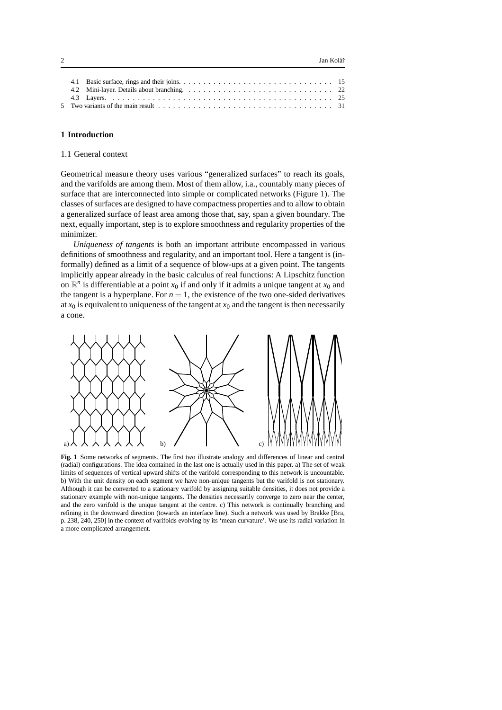|  | 5 Two variants of the main result $\ldots$ , $\ldots$ , $\ldots$ , $\ldots$ , $\ldots$ , $\ldots$ , $\ldots$ , $\ldots$ , $\ldots$ , $\ldots$ , $\frac{31}{2}$ |
|--|----------------------------------------------------------------------------------------------------------------------------------------------------------------|
|  |                                                                                                                                                                |

## <span id="page-1-1"></span><span id="page-1-0"></span>**1 Introduction**

# 1.1 General context

Geometrical measure theory uses various "generalized surfaces" to reach its goals, and the varifolds are among them. Most of them allow, i.a., countably many pieces of surface that are interconnected into simple or complicated networks (Figure [1\)](#page-1-2). The classes of surfaces are designed to have compactness properties and to allow to obtain a generalized surface of least area among those that, say, span a given boundary. The next, equally important, step is to explore smoothness and regularity properties of the minimizer.

*Uniqueness of tangents* is both an important attribute encompassed in various definitions of smoothness and regularity, and an important tool. Here a tangent is (informally) defined as a limit of a sequence of blow-ups at a given point. The tangents implicitly appear already in the basic calculus of real functions: A Lipschitz function on  $\mathbb{R}^n$  is differentiable at a point  $x_0$  if and only if it admits a unique tangent at  $x_0$  and the tangent is a hyperplane. For  $n = 1$ , the existence of the two one-sided derivatives at  $x_0$  is equivalent to uniqueness of the tangent at  $x_0$  and the tangent is then necessarily a cone.



<span id="page-1-2"></span>**Fig. 1** Some networks of segments. The first two illustrate analogy and differences of linear and central (radial) configurations. The idea contained in the last one is actually used in this paper. a) The set of weak limits of sequences of vertical upward shifts of the varifold corresponding to this network is uncountable. b) With the unit density on each segment we have non-unique tangents but the varifold is not stationary. Although it can be converted to a stationary varifold by assigning suitable densities, it does not provide a stationary example with non-unique tangents. The densities necessarily converge to zero near the center, and the zero varifold is the unique tangent at the centre. c) This network is continually branching and refining in the downward direction (towards an interface line). Such a network was used by Brakke [\[Bra,](#page-35-0) p. 238, 240, 250] in the context of varifolds evolving by its 'mean curvature'. We use its radial variation in a more complicated arrangement.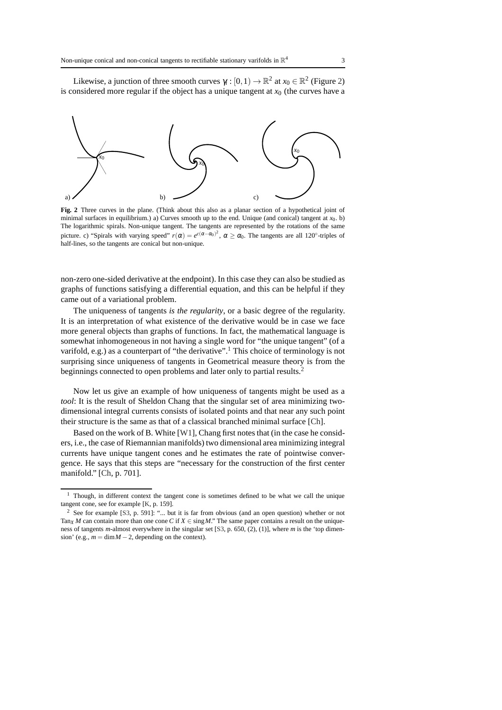Likewise, a junction of three smooth curves  $\gamma_i : [0,1) \to \mathbb{R}^2$  at  $x_0 \in \mathbb{R}^2$  (Figure [2\)](#page-2-0) is considered more regular if the object has a unique tangent at  $x<sub>0</sub>$  (the curves have a



<span id="page-2-0"></span>**Fig. 2** Three curves in the plane. (Think about this also as a planar section of a hypothetical joint of minimal surfaces in equilibrium.) a) Curves smooth up to the end. Unique (and conical) tangent at  $x_0$ . b) The logarithmic spirals. Non-unique tangent. The tangents are represented by the rotations of the same picture. c) "Spirals with varying speed"  $r(\alpha) = e^{c(\alpha - \alpha_0)^2}$ ,  $\alpha \ge \alpha_0$ . The tangents are all 120°-triples of half-lines, so the tangents are conical but non-unique.

non-zero one-sided derivative at the endpoint). In this case they can also be studied as graphs of functions satisfying a differential equation, and this can be helpful if they came out of a variational problem.

The uniqueness of tangents *is the regularity*, or a basic degree of the regularity. It is an interpretation of what existence of the derivative would be in case we face more general objects than graphs of functions. In fact, the mathematical language is somewhat inhomogeneous in not having a single word for "the unique tangent" (of a varifold, e.g.) as a counterpart of "the derivative".<sup>[1](#page-2-1)</sup> This choice of terminology is not surprising since uniqueness of tangents in Geometrical measure theory is from the beginnings connected to open problems and later only to partial results.<sup>[2](#page-2-2)</sup>

Now let us give an example of how uniqueness of tangents might be used as a *tool*: It is the result of Sheldon Chang that the singular set of area minimizing twodimensional integral currents consists of isolated points and that near any such point their structure is the same as that of a classical branched minimal surface [\[Ch\]](#page-35-1).

Based on the work of B. White [\[W1\]](#page-36-0), Chang first notes that (in the case he considers, i.e., the case of Riemannian manifolds) two dimensional area minimizing integral currents have unique tangent cones and he estimates the rate of pointwise convergence. He says that this steps are "necessary for the construction of the first center manifold." [\[Ch,](#page-35-1) p. 701].

<span id="page-2-1"></span><sup>&</sup>lt;sup>1</sup> Though, in different context the tangent cone is sometimes defined to be what we call the unique tangent cone, see for example [\[K,](#page-36-1) p. 159].

<span id="page-2-2"></span><sup>2</sup> See for example [\[S3,](#page-36-2) p. 591]: "... but it is far from obvious (and an open question) whether or not Tan<sub>X</sub> *M* can contain more than one cone *C* if  $X \in \text{sing } M$ ." The same paper contains a result on the uniqueness of tangents *m*-almost everywhere in the singular set [\[S3,](#page-36-2) p. 650, (2), (1)], where *m* is the 'top dimension' (e.g.,  $m = \dim M - 2$ , depending on the context).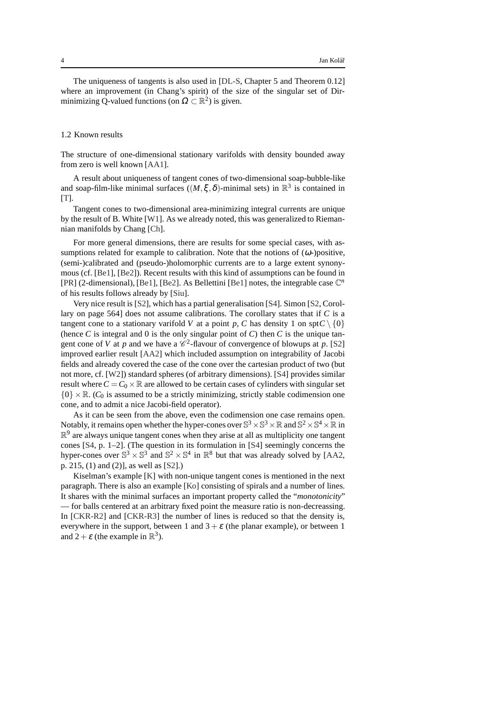The uniqueness of tangents is also used in [\[DL-S,](#page-35-2) Chapter 5 and Theorem 0.12] where an improvement (in Chang's spirit) of the size of the singular set of Dirminimizing Q-valued functions (on  $\Omega \subset \mathbb{R}^2$ ) is given.

## <span id="page-3-0"></span>1.2 Known results

The structure of one-dimensional stationary varifolds with density bounded away from zero is well known [\[AA1\]](#page-35-3).

A result about uniqueness of tangent cones of two-dimensional soap-bubble-like and soap-film-like minimal surfaces  $((M, \xi, \delta)$ -minimal sets) in  $\mathbb{R}^3$  is contained in  $[T]$ .

Tangent cones to two-dimensional area-minimizing integral currents are unique by the result of B. White [\[W1\]](#page-36-0). As we already noted, this was generalized to Riemannian manifolds by Chang [\[Ch\]](#page-35-1).

For more general dimensions, there are results for some special cases, with assumptions related for example to calibration. Note that the notions of  $(\omega)$ -positive, (semi-)calibrated and (pseudo-)holomorphic currents are to a large extent synonymous (cf. [\[Be1\]](#page-35-4), [\[Be2\]](#page-35-5)). Recent results with this kind of assumptions can be found in [\[PR\]](#page-36-4) (2-dimensional), [\[Be1\]](#page-35-4), [\[Be2\]](#page-35-5). As Bellettini [\[Be1\]](#page-35-4) notes, the integrable case C *n* of his results follows already by [\[Siu\]](#page-36-5).

Very nice result is [\[S2\]](#page-36-6), which has a partial generalisation [\[S4\]](#page-36-7). Simon [\[S2,](#page-36-6) Corollary on page 564] does not assume calibrations. The corollary states that if *C* is a tangent cone to a stationary varifold *V* at a point *p*, *C* has density 1 on spt $C \setminus \{0\}$ (hence  $C$  is integral and 0 is the only singular point of  $C$ ) then  $C$  is the unique tangent cone of *V* at *p* and we have a  $\mathcal{C}^2$ -flavour of convergence of blowups at *p*. [\[S2\]](#page-36-6) improved earlier result [\[AA2\]](#page-35-6) which included assumption on integrability of Jacobi fields and already covered the case of the cone over the cartesian product of two (but not more, cf. [\[W2\]](#page-36-8)) standard spheres (of arbitrary dimensions). [\[S4\]](#page-36-7) provides similar result where  $C = C_0 \times \mathbb{R}$  are allowed to be certain cases of cylinders with singular set  ${0 \times \mathbb{R}}$ . (*C*<sub>0</sub> is assumed to be a strictly minimizing, strictly stable codimension one cone, and to admit a nice Jacobi-field operator).

As it can be seen from the above, even the codimension one case remains open. Notably, it remains open whether the hyper-cones over  $\mathbb{S}^3 \times \mathbb{S}^3 \times \mathbb{R}$  and  $\mathbb{S}^2 \times \mathbb{S}^4 \times \mathbb{R}$  in  $\mathbb{R}^9$  are always unique tangent cones when they arise at all as multiplicity one tangent cones [\[S4,](#page-36-7) p. 1–2]. (The question in its formulation in [\[S4\]](#page-36-7) seemingly concerns the hyper-cones over  $\mathbb{S}^3 \times \mathbb{S}^3$  and  $\mathbb{S}^2 \times \mathbb{S}^4$  in  $\mathbb{R}^8$  but that was already solved by [\[AA2,](#page-35-6) p. 215, (1) and (2)], as well as [\[S2\]](#page-36-6).)

Kiselman's example [\[K\]](#page-36-1) with non-unique tangent cones is mentioned in the next paragraph. There is also an example [\[Ko\]](#page-36-9) consisting of spirals and a number of lines. It shares with the minimal surfaces an important property called the "*monotonicity*" — for balls centered at an arbitrary fixed point the measure ratio is non-decreassing. In [\[CKR-R2\]](#page-35-7) and [\[CKR-R3\]](#page-35-8) the number of lines is reduced so that the density is, everywhere in the support, between 1 and  $3 + \varepsilon$  (the planar example), or between 1 and  $2 + \varepsilon$  (the example in  $\mathbb{R}^3$ ).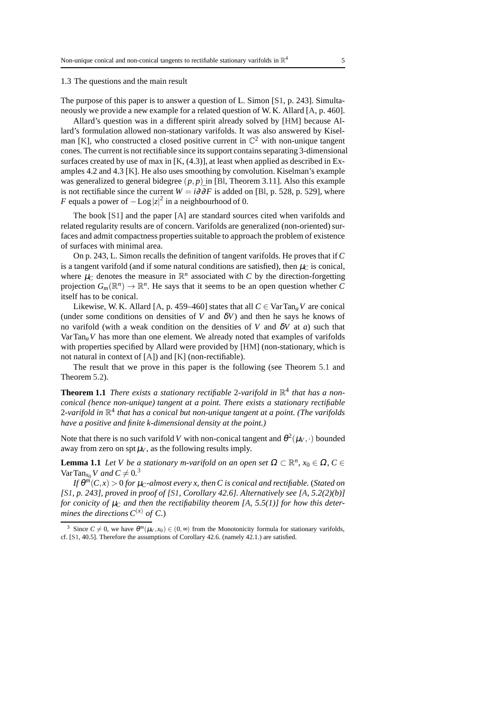#### <span id="page-4-0"></span>1.3 The questions and the main result

The purpose of this paper is to answer a question of L. Simon [\[S1,](#page-36-10) p. 243]. Simultaneously we provide a new example for a related question of W. K. Allard [\[A,](#page-35-9) p. 460].

Allard's question was in a different spirit already solved by [\[HM\]](#page-35-10) because Allard's formulation allowed non-stationary varifolds. It was also answered by Kisel-man [\[K\]](#page-36-1), who constructed a closed positive current in  $\mathbb{C}^2$  with non-unique tangent cones. The current is not rectifiable since its support contains separating 3-dimensional surfaces created by use of max in  $[K, (4.3)]$ , at least when applied as described in Examples 4.2 and 4.3 [\[K\]](#page-36-1). He also uses smoothing by convolution. Kiselman's example was generalized to general bidegree  $(p, p)$  in [\[Bl,](#page-35-11) Theorem 3.11]. Also this example is not rectifiable since the current  $W = i\partial \bar{\partial}F$  is added on [\[Bl,](#page-35-11) p. 528, p. 529], where *F* equals a power of  $-\text{Log}|z|^2$  in a neighbourhood of 0.

The book [\[S1\]](#page-36-10) and the paper [\[A\]](#page-35-9) are standard sources cited when varifolds and related regularity results are of concern. Varifolds are generalized (non-oriented) surfaces and admit compactness properties suitable to approach the problem of existence of surfaces with minimal area.

On p. 243, L. Simon recalls the definition of tangent varifolds. He proves that if *C* is a tangent varifold (and if some natural conditions are satisfied), then  $\mu_C$  is conical, where  $\mu_C$  denotes the measure in  $\mathbb{R}^n$  associated with *C* by the direction-forgetting projection  $G_m(\mathbb{R}^n) \to \mathbb{R}^n$ . He says that it seems to be an open question whether *C* itself has to be conical.

Likewise, W. K. Allard [\[A,](#page-35-9) p. 459–460] states that all  $C \in \text{VarTan}_a V$  are conical (under some conditions on densities of *V* and  $\delta V$ ) and then he says he knows of no varifold (with a weak condition on the densities of *V* and  $\delta V$  at *a*) such that VarTan<sub>a</sub> $V$  has more than one element. We already noted that examples of varifolds with properties specified by Allard were provided by [\[HM\]](#page-35-10) (non-stationary, which is not natural in context of [\[A\]](#page-35-9)) and [\[K\]](#page-36-1) (non-rectifiable).

<span id="page-4-2"></span>The result that we prove in this paper is the following (see Theorem [5.1](#page-30-1) and Theorem [5.2\)](#page-34-0).

**Theorem 1.1** *There exists a stationary rectifiable* 2-varifold in  $\mathbb{R}^4$  that has a non*conical (hence non-unique) tangent at a point. There exists a stationary rectifiable* 2*-varifold in* R 4 *that has a conical but non-unique tangent at a point. (The varifolds have a positive and finite k-dimensional density at the point.)*

Note that there is no such varifold *V* with non-conical tangent and  $\theta^2(\mu_V, \cdot)$  bounded away from zero on spt  $\mu_V$ , as the following results imply.

<span id="page-4-3"></span>**Lemma 1.1** *Let V be a stationary m-varifold on an open set*  $\Omega \subset \mathbb{R}^n$ ,  $x_0 \in \Omega$ ,  $C \in$ Var Tan<sub>*x*0</sub></sub> *V* and  $C \neq 0.3$  $C \neq 0.3$ 

*If* θ *<sup>m</sup>*(*C*,*x*) > 0 *for* <sup>µ</sup>*C-almost every x, then C is conical and rectifiable.* (*Stated on [\[S1,](#page-36-10) p. 243], proved in proof of [\[S1,](#page-36-10) Corollary 42.6]. Alternatively see [\[A,](#page-35-9) 5.2(2)(b)] for conicity of*  $\mu_C$  *and then the rectifiability theorem* [\[A,](#page-35-9) 5.5(1)] *for how this determines the directions*  $C^{(x)}$  *of C.*)

<span id="page-4-1"></span><sup>&</sup>lt;sup>3</sup> Since  $C \neq 0$ , we have  $\theta^m(\mu_V, x_0) \in (0, \infty)$  from the Monotonicity formula for stationary varifolds, cf. [\[S1,](#page-36-10) 40.5]. Therefore the assumptions of Corollary 42.6. (namely 42.1.) are satisfied.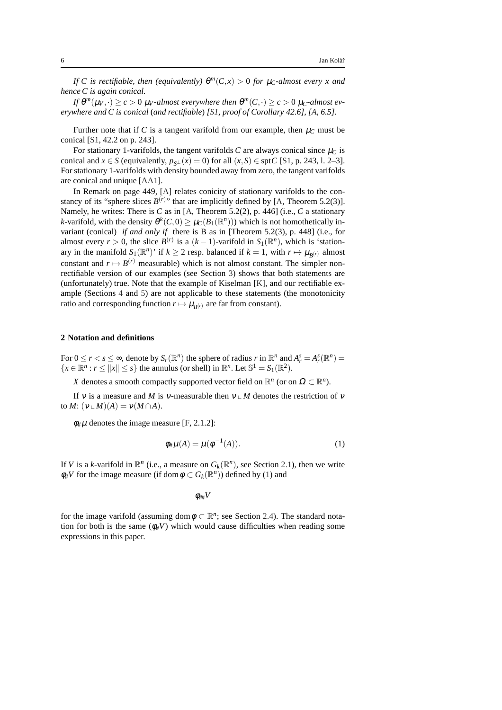*If* C is rectifiable, then (equivalently)  $\theta^m(C,x) > 0$  for  $\mu_C$ -almost every x and *hence C is again conical.*

*If*  $\theta^m(\mu_V, \cdot) \ge c > 0$   $\mu_V$ -almost everywhere then  $\theta^m(C, \cdot) \ge c > 0$   $\mu_C$ -almost ev*erywhere and C is conical* (*and rectifiable*) *[\[S1,](#page-36-10) proof of Corollary 42.6], [\[A,](#page-35-9) 6.5].*

Further note that if C is a tangent varifold from our example, then  $\mu_C$  must be conical [\[S1,](#page-36-10) 42.2 on p. 243].

For stationary 1-varifolds, the tangent varifolds  $C$  are always conical since  $\mu_C$  is conical and  $x \in S$  (equivalently,  $p_{s\perp}(x) = 0$ ) for all  $(x, S) \in \text{spt } C$  [\[S1,](#page-36-10) p. 243, l. 2–3]. For stationary 1-varifolds with density bounded away from zero, the tangent varifolds are conical and unique [\[AA1\]](#page-35-3).

In Remark on page 449, [\[A\]](#page-35-9) relates conicity of stationary varifolds to the constancy of its "sphere slices  $B^{(r)}$ " that are implicitly defined by [\[A,](#page-35-9) Theorem 5.2(3)]. Namely, he writes: There is *C* as in [\[A,](#page-35-9) Theorem 5.2(2), p. 446] (i.e., *C* a stationary *k*-varifold, with the density  $\theta^k(C, 0) \ge \mu_C(B_1(\mathbb{R}^n)))$  which is not homothetically invariant (conical) *if and only if* there is B as in [Theorem 5.2(3), p. 448] (i.e., for almost every  $r > 0$ , the slice  $B^{(r)}$  is a  $(k-1)$ -varifold in  $S_1(\mathbb{R}^n)$ , which is 'stationary in the manifold  $S_1(\mathbb{R}^n)$  if  $k \ge 2$  resp. balanced if  $k = 1$ , with  $r \mapsto \mu_{B(r)}$  almost constant and  $r \mapsto B^{(r)}$  measurable) which is not almost constant. The simpler nonrectifiable version of our examples (see Section [3\)](#page-9-0) shows that both statements are (unfortunately) true. Note that the example of Kiselman [\[K\]](#page-36-1), and our rectifiable example (Sections [4](#page-12-0) and [5\)](#page-30-0) are not applicable to these statements (the monotonicity ratio and corresponding function  $r \mapsto \mu_{B^{(r)}}$  are far from constant).

#### <span id="page-5-0"></span>**2 Notation and definitions**

For  $0 \le r < s \le \infty$ , denote by  $S_r(\mathbb{R}^n)$  the sphere of radius *r* in  $\mathbb{R}^n$  and  $A_r^s = A_r^s(\mathbb{R}^n) =$  ${x \in \mathbb{R}^n : r \le ||x|| \le s}$  the annulus (or shell) in  $\mathbb{R}^n$ . Let  $\mathbb{S}^1 = S_1(\mathbb{R}^2)$ .

*X* denotes a smooth compactly supported vector field on  $\mathbb{R}^n$  (or on  $\Omega \subset \mathbb{R}^n$ ).

If v is a measure and *M* is v-measurable then  $v \perp M$  denotes the restriction of v to  $M: (v \cup M)(A) = v(M \cap A)$ .

 $\phi_{\#}\mu$  denotes the image measure [\[F,](#page-35-12) 2.1.2]:

<span id="page-5-1"></span>
$$
\phi_{\#}\mu(A) = \mu(\phi^{-1}(A)).
$$
\n(1)

If *V* is a *k*-varifold in  $\mathbb{R}^n$  (i.e., a measure on  $G_k(\mathbb{R}^n)$ , see Section [2.1\)](#page-6-0), then we write  $\phi_{\#}V$  for the image measure (if dom  $\phi \subset G_k(\mathbb{R}^n)$ ) defined by [\(1\)](#page-5-1) and

φ##*V*

for the image varifold (assuming dom $\phi \subset \mathbb{R}^n$ ; see Section [2.4\)](#page-8-1). The standard notation for both is the same  $(\phi#V)$  which would cause difficulties when reading some expressions in this paper.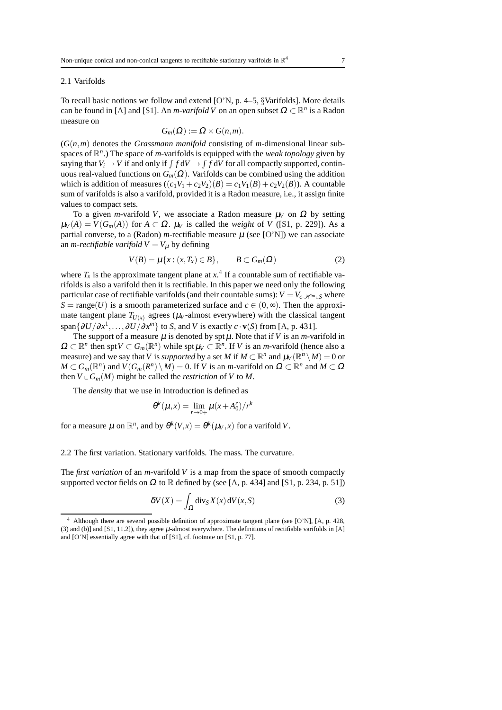#### <span id="page-6-0"></span>2.1 Varifolds

To recall basic notions we follow and extend [\[O'N,](#page-36-11) p. 4–5, §Varifolds]. More details can be found in [\[A\]](#page-35-9) and [\[S1\]](#page-36-10). An *m-varifold V* on an open subset  $\Omega \subset \mathbb{R}^n$  is a Radon measure on

$$
G_m(\Omega) := \Omega \times G(n,m).
$$

(*G*(*n*,*m*) denotes the *Grassmann manifold* consisting of *m*-dimensional linear subspaces of R *n* .) The space of *m*-varifolds is equipped with the *weak topology* given by saying that  $V_i \rightarrow V$  if and only if  $\int f dV \rightarrow \int f dV$  for all compactly supported, continuous real-valued functions on  $G_m(\Omega)$ . Varifolds can be combined using the addition which is addition of measures  $((c_1V_1 + c_2V_2)(B) = c_1V_1(B) + c_2V_2(B))$ . A countable sum of varifolds is also a varifold, provided it is a Radon measure, i.e., it assign finite values to compact sets.

To a given *m*-varifold *V*, we associate a Radon measure  $\mu_V$  on  $\Omega$  by setting  $\mu_V(A) = V(G_m(A))$  for  $A \subset \Omega$ .  $\mu_V$  is called the *weight* of *V* ([\[S1,](#page-36-10) p. 229]). As a partial converse, to a (Radon) *m*-rectifiable measure  $\mu$  (see [\[O'N\]](#page-36-11)) we can associate an *m-rectifiable varifold*  $V = V_{\mu}$  by defining

$$
V(B) = \mu\{x : (x, T_x) \in B\}, \qquad B \subset G_m(\Omega)
$$
 (2)

where  $T_x$  is the approximate tangent plane at  $x^4$  $x^4$ . If a countable sum of rectifiable varifolds is also a varifold then it is rectifiable. In this paper we need only the following particular case of rectifiable varifolds (and their countable sums):  $V = V_c$ <sub> $\mathcal{H}^m$  *S* where</sub> *S* = range(*U*) is a smooth parameterized surface and  $c \in (0, \infty)$ . Then the approximate tangent plane  $T_{U(x)}$  agrees ( $\mu_V$ -almost everywhere) with the classical tangent span $\{\partial U/\partial x^1, \ldots, \partial U/\partial x^m\}$  to *S*, and *V* is exactly  $c \cdot \mathbf{v}(S)$  from [\[A,](#page-35-9) p. 431].

The support of a measure  $\mu$  is denoted by spt  $\mu$ . Note that if *V* is an *m*-varifold in  $\Omega \subset \mathbb{R}^n$  then spt  $V \subset G_m(\mathbb{R}^n)$  while spt  $\mu_V \subset \mathbb{R}^n$ . If *V* is an *m*-varifold (hence also a measure) and we say that *V* is *supported* by a set *M* if  $M \subset \mathbb{R}^n$  and  $\mu_V(\mathbb{R}^n \setminus M) = 0$  or  $M \subset G_m(\mathbb{R}^n)$  and  $V(G_m(R^n) \setminus M) = 0$ . If *V* is an *m*-varifold on  $\Omega \subset \mathbb{R}^n$  and  $M \subset \Omega$ then  $V \text{ }\mathcal{L}$  *G<sub>m</sub>*(*M*) might be called the *restriction* of *V* to *M*.

The *density* that we use in Introduction is defined as

$$
\theta^{k}(\mu, x) = \lim_{r \to 0+} \mu(x + A_0^r)/r^k
$$

for a measure  $\mu$  on  $\mathbb{R}^n$ , and by  $\theta^k(V,x) = \theta^k(\mu_V,x)$  for a varifold V.

<span id="page-6-1"></span>2.2 The first variation. Stationary varifolds. The mass. The curvature.

The *first variation* of an *m*-varifold *V* is a map from the space of smooth compactly supported vector fields on  $\Omega$  to  $\mathbb R$  defined by (see [\[A,](#page-35-9) p. 434] and [\[S1,](#page-36-10) p. 234, p. 51])

<span id="page-6-3"></span>
$$
\delta V(X) = \int_{\Omega} \text{div}_{S} X(x) \, \text{d}V(x, S) \tag{3}
$$

<span id="page-6-2"></span><sup>4</sup> Although there are several possible definition of approximate tangent plane (see [\[O'N\]](#page-36-11), [\[A,](#page-35-9) p. 428, (3) and (b)] and [\[S1,](#page-36-10) 11.2]), they agree µ-almost everywhere. The definitions of rectifiable varifolds in [\[A\]](#page-35-9) and [\[O'N\]](#page-36-11) essentially agree with that of [\[S1\]](#page-36-10), cf. footnote on [\[S1,](#page-36-10) p. 77].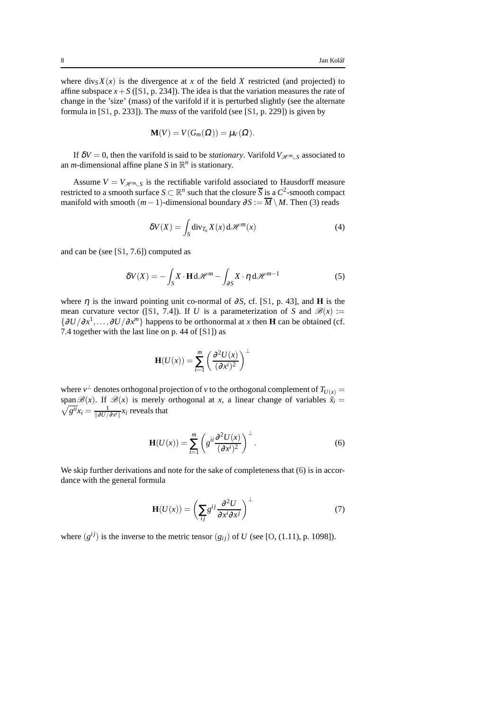where  $div_S X(x)$  is the divergence at *x* of the field *X* restricted (and projected) to affine subspace  $x + S$  ([\[S1,](#page-36-10) p. 234]). The idea is that the variation measures the rate of change in the 'size' (mass) of the varifold if it is perturbed slightly (see the alternate formula in [\[S1,](#page-36-10) p. 233]). The *mass* of the varifold (see [\[S1,](#page-36-10) p. 229]) is given by

$$
\mathbf{M}(V) = V(G_m(\Omega)) = \mu_V(\Omega).
$$

If  $\delta V = 0$ , then the varifold is said to be *stationary*. Varifold  $V_{\mathcal{H}^m \cup S}$  associated to an *m*-dimensional affine plane *S* in  $\mathbb{R}^n$  is stationary.

Assume  $V = V_{\mathcal{H}^m \setminus S}$  is the rectifiable varifold associated to Hausdorff measure restricted to a smooth surface  $S \subset \mathbb{R}^n$  such that the closure  $\overline{S}$  is a  $C^2$ -smooth compact manifold with smooth  $(m-1)$ -dimensional boundary  $\partial S := \overline{M} \setminus M$ . Then [\(3\)](#page-6-3) reads

$$
\delta V(X) = \int_{S} \text{div}_{T_x} X(x) \, d\mathcal{H}^m(x) \tag{4}
$$

and can be (see [\[S1,](#page-36-10) 7.6]) computed as

<span id="page-7-1"></span>
$$
\delta V(X) = -\int_{S} X \cdot \mathbf{H} \, d\mathcal{H}^{m} - \int_{\partial S} X \cdot \eta \, d\mathcal{H}^{m-1}
$$
 (5)

where  $\eta$  is the inward pointing unit co-normal of  $\partial S$ , cf. [\[S1,](#page-36-10) p. 43], and **H** is the mean curvature vector ([\[S1,](#page-36-10) 7.4]). If *U* is a parameterization of *S* and  $\mathscr{B}(x) :=$  $\{\partial U/\partial x^1, \ldots, \partial U/\partial x^m\}$  happens to be orthonormal at *x* then **H** can be obtained (cf. 7.4 together with the last line on p. 44 of [\[S1\]](#page-36-10)) as

$$
\mathbf{H}(U(x)) = \sum_{i=1}^{m} \left( \frac{\partial^2 U(x)}{(\partial x^i)^2} \right)^{\perp}
$$

where  $v^\perp$  denotes orthogonal projection of  $v$  to the orthogonal complement of  $T_{U(x)}=$ span  $\mathscr{B}(x)$ . If  $\mathscr{B}(x)$  is merely orthogonal at *x*, a linear change of variables  $\tilde{x}_i =$  $\sqrt{g^{ii}}x_i = \frac{1}{\|\partial U\|}$  $\frac{1}{\|\partial U/\partial x^i\|}x_i$  reveals that

<span id="page-7-0"></span>
$$
\mathbf{H}(U(x)) = \sum_{i=1}^{m} \left( g^{ii} \frac{\partial^2 U(x)}{(\partial x^i)^2} \right)^{\perp}.
$$
 (6)

We skip further derivations and note for the sake of completeness that [\(6\)](#page-7-0) is in accordance with the general formula

<span id="page-7-2"></span>
$$
\mathbf{H}(U(x)) = \left(\sum_{ij} g^{ij} \frac{\partial^2 U}{\partial x^i \partial x^j}\right)^{\perp} \tag{7}
$$

where  $(g^{ij})$  is the inverse to the metric tensor  $(g_{ij})$  of *U* (see [\[O,](#page-36-12) (1.11), p. 1098]).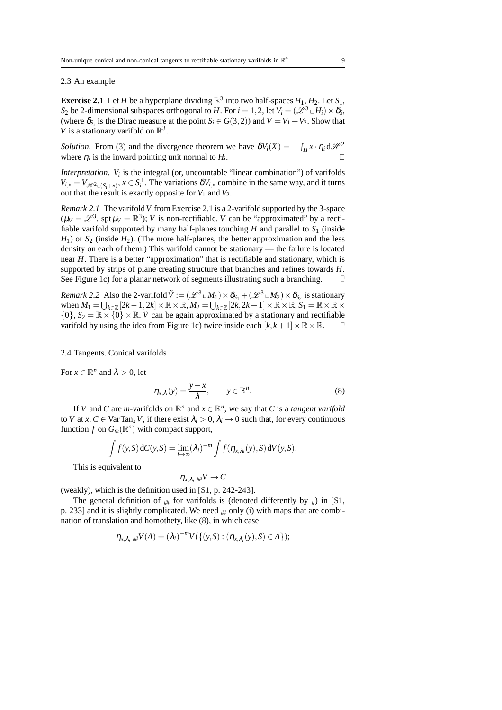#### <span id="page-8-2"></span><span id="page-8-0"></span>2.3 An example

**Exercise 2.1** Let *H* be a hyperplane dividing  $\mathbb{R}^3$  into two half-spaces  $H_1, H_2$ . Let  $S_1$ , *S*<sub>2</sub> be 2-dimensional subspaces orthogonal to *H*. For  $i = 1, 2$ , let  $V_i = (\mathscr{L}^3 \cup H_i) \times \delta_{S_i}$ (where  $\delta_{S_i}$  is the Dirac measure at the point  $S_i \in G(3,2)$ ) and  $V = V_1 + V_2$ . Show that *V* is a stationary varifold on  $\mathbb{R}^3$ .

*Solution.* From [\(3\)](#page-6-3) and the divergence theorem we have  $\delta V_i(X) = -\int_H x \cdot \eta_i d\mathcal{H}^2$ where  $\eta_i$  is the inward pointing unit normal to  $H_i$ . ⊓⊔

*Interpretation.*  $V_i$  is the integral (or, uncountable "linear combination") of varifolds  $V_{i,x} = V_{\mathcal{H}^2 \cup (S_i + x)}$ ,  $x \in S_i^{\perp}$ . The variations  $\delta V_{i,x}$  combine in the same way, and it turns out that the result is exactly opposite for  $V_1$  and  $V_2$ .

*Remark 2.1* The varifold*V* from Exercise [2.1](#page-8-2) is a 2-varifold supported by the 3-space  $(\mu_V = \mathcal{L}^3, \text{ spt } \mu_V = \mathbb{R}^3)$ ; *V* is non-rectifiable. *V* can be "approximated" by a rectifiable varifold supported by many half-planes touching  $H$  and parallel to  $S_1$  (inside  $H_1$ ) or  $S_2$  (inside  $H_2$ ). (The more half-planes, the better approximation and the less density on each of them.) This varifold cannot be stationary — the failure is located near *H*. There is a better "approximation" that is rectifiable and stationary, which is supported by strips of plane creating structure that branches and refines towards *H*. See Figure [1c](#page-1-2)) for a planar network of segments illustrating such a branching.

<span id="page-8-4"></span>*Remark 2.2* Also the 2-varifold  $\tilde{V} := (\mathscr{L}^3 \cup M_1) \times \delta_{S_1} + (\mathscr{L}^3 \cup M_2) \times \delta_{S_2}$  is stationary when  $M_1 = \bigcup_{k \in \mathbb{Z}} [2k-1, 2k] \times \mathbb{R} \times \mathbb{R}, M_2 = \bigcup_{k \in \mathbb{Z}} [2k, 2k+1] \times \mathbb{R} \times \mathbb{R}, S_1 = \mathbb{R} \times \mathbb{R} \times \mathbb{R}$  $\{0\}$ ,  $S_2 = \mathbb{R} \times \{0\} \times \mathbb{R}$ .  $\tilde{V}$  can be again approximated by a stationary and rectifiable varifold by using the idea from Figure 1c) twice inside each  $[k, k+1] \times \mathbb{R} \times \mathbb{R}$ . varifold by using the idea from Figure [1c](#page-1-2)) twice inside each  $[k, k+1] \times \mathbb{R} \times \mathbb{R}$ .

#### <span id="page-8-1"></span>2.4 Tangents. Conical varifolds

For  $x \in \mathbb{R}^n$  and  $\lambda > 0$ , let

<span id="page-8-3"></span>
$$
\eta_{x,\lambda}(y) = \frac{y-x}{\lambda}, \qquad y \in \mathbb{R}^n. \tag{8}
$$

If *V* and *C* are *m*-varifolds on  $\mathbb{R}^n$  and  $x \in \mathbb{R}^n$ , we say that *C* is a *tangent varifold* to *V* at *x*,  $C \in \text{VarTan}_x V$ , if there exist  $\lambda_i > 0$ ,  $\lambda_i \to 0$  such that, for every continuous function *f* on  $G_m(\mathbb{R}^n)$  with compact support,

$$
\int f(y,S) dC(y,S) = \lim_{i \to \infty} (\lambda_i)^{-m} \int f(\eta_{x,\lambda_i}(y),S) dV(y,S).
$$

This is equivalent to

$$
\eta_{x,\lambda_i} \,{}_{\# \! \! \! \, W} \rightarrow C
$$

(weakly), which is the definition used in [\[S1,](#page-36-10) p. 242-243].

The general definition of  $#$  for varifolds is (denoted differently by  $#$ ) in [\[S1,](#page-36-10) p. 233] and it is slightly complicated. We need  $#$  only (i) with maps that are combination of translation and homothety, like [\(8\)](#page-8-3), in which case

$$
\eta_{x,\lambda_i} {\#} V(A) = (\lambda_i)^{-m} V(\{(y,S) : (\eta_{x,\lambda_i}(y),S) \in A\});
$$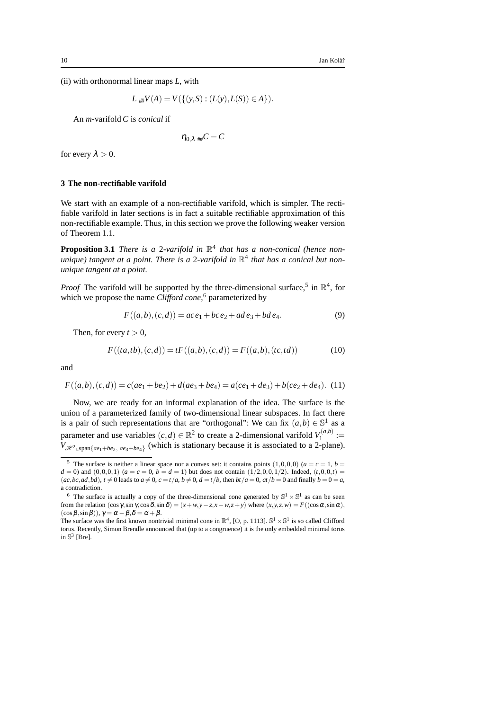(ii) with orthonormal linear maps *L*, with

$$
L \# V(A) = V(\{(y, S) : (L(y), L(S)) \in A\}).
$$

An *m*-varifold *C* is *conical* if

 $\eta_0$ <sub> $\lambda$ </sub>  $_{\text{#}}C = C$ 

for every  $\lambda > 0$ .

#### <span id="page-9-0"></span>**3 The non-rectifiable varifold**

We start with an example of a non-rectifiable varifold, which is simpler. The rectifiable varifold in later sections is in fact a suitable rectifiable approximation of this non-rectifiable example. Thus, in this section we prove the following weaker version of Theorem [1.1.](#page-4-2)

**Proposition 3.1** *There is a 2-varifold in*  $\mathbb{R}^4$  *that has a non-conical (hence nonunique) tangent at a point. There is a* 2*-varifold in* R 4 *that has a conical but nonunique tangent at a point.*

*Proof* The varifold will be supported by the three-dimensional surface,<sup>[5](#page-9-1)</sup> in  $\mathbb{R}^4$ , for which we propose the name *Clifford cone*, [6](#page-9-2) parameterized by

<span id="page-9-3"></span>
$$
F((a,b),(c,d)) = ace_1 + bce_2 + ad\,e_3 + bd\,e_4. \tag{9}
$$

Then, for every  $t > 0$ ,

<span id="page-9-4"></span>
$$
F((ta, tb), (c, d)) = tF((a, b), (c, d)) = F((a, b), (tc, td))
$$
\n(10)

and

<span id="page-9-5"></span>
$$
F((a,b),(c,d)) = c(ae_1 + be_2) + d(ae_3 + be_4) = a(ce_1 + de_3) + b(ce_2 + de_4).
$$
 (11)

Now, we are ready for an informal explanation of the idea. The surface is the union of a parameterized family of two-dimensional linear subspaces. In fact there is a pair of such representations that are "orthogonal": We can fix  $(a,b) \in \mathbb{S}^1$  as a parameter and use variables  $(c,d) \in \mathbb{R}^2$  to create a 2-dimensional varifold  $V_1^{(a,b)}$  $I_1^{(a,b)} :=$  $V_{\mathcal{H}^2 \text{Lspan}\{ae_1+be_2, ae_3+be_4\}}$  (which is stationary because it is associated to a 2-plane).

<span id="page-9-1"></span><sup>&</sup>lt;sup>5</sup> The surface is neither a linear space nor a convex set: it contains points  $(1,0,0,0)$  ( $a = c = 1, b = 1$  $d = 0$ ) and  $(0,0,0,1)$  ( $a = c = 0$ ,  $b = d = 1$ ) but does not contain (1/2,0,0,1/2). Indeed, (*t*,0,0,*t*) =  $(ac, bc, ad, bd)$ ,  $t \neq 0$  leads to  $a \neq 0$ ,  $c = t/a$ ,  $b \neq 0$ ,  $d = t/b$ , then  $bt/a = 0$ ,  $at/b = 0$  and finally  $b = 0 = a$ , a contradiction.

<span id="page-9-2"></span><sup>&</sup>lt;sup>6</sup> The surface is actually a copy of the three-dimensional cone generated by  $\mathbb{S}^1 \times \mathbb{S}^1$  as can be seen from the relation  $(\cos \gamma, \sin \gamma, \cos \delta, \sin \delta) = (x + w, y - z, x - w, z + y)$  where  $(x, y, z, w) = F((\cos \alpha, \sin \alpha),$  $(\cos \beta, \sin \beta)$ ),  $\gamma = \alpha - \beta$ ,  $\delta = \alpha + \beta$ .

The surface was the first known nontrivial minimal cone in  $\mathbb{R}^4$ , [\[O,](#page-36-12) p. 1113].  $\mathbb{S}^1 \times \mathbb{S}^1$  is so called Clifford torus. Recently, Simon Brendle announced that (up to a congruence) it is the only embedded minimal torus in  $\mathbb{S}^3$  [\[Bre\]](#page-35-13).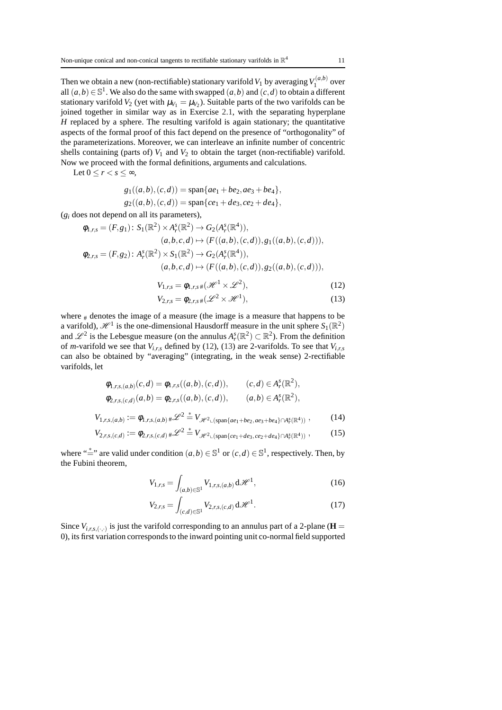Then we obtain a new (non-rectifiable) stationary varifold  $V_1$  by averaging  $V_1^{(a,b)}$  $\int_1^{(a,v)}$  over all  $(a,b) \in \mathbb{S}^1$ . We also do the same with swapped  $(a,b)$  and  $(c,d)$  to obtain a different stationary varifold  $V_2$  (yet with  $\mu_{V_1} = \mu_{V_2}$ ). Suitable parts of the two varifolds can be joined together in similar way as in Exercise [2.1,](#page-8-2) with the separating hyperplane *H* replaced by a sphere. The resulting varifold is again stationary; the quantitative aspects of the formal proof of this fact depend on the presence of "orthogonality" of the parameterizations. Moreover, we can interleave an infinite number of concentric shells containing (parts of)  $V_1$  and  $V_2$  to obtain the target (non-rectifiable) varifold. Now we proceed with the formal definitions, arguments and calculations.

Let  $0 \leq r \leq s \leq \infty$ ,

$$
g_1((a,b),(c,d)) = \text{span}\{ae_1+be_2, ae_3+be_4\},\
$$
  

$$
g_2((a,b),(c,d)) = \text{span}\{ce_1+de_3, ce_2+de_4\},\
$$

 $(g_i$  does not depend on all its parameters),

$$
\phi_{1,r,s} = (F, g_1) \colon S_1(\mathbb{R}^2) \times A_r^s(\mathbb{R}^2) \to G_2(A_r^s(\mathbb{R}^4)), (a, b, c, d) \mapsto (F((a, b), (c, d)), g_1((a, b), (c, d))), \n\phi_{2,r,s} = (F, g_2) \colon A_r^s(\mathbb{R}^2) \times S_1(\mathbb{R}^2) \to G_2(A_r^s(\mathbb{R}^4)), (a, b, c, d) \mapsto (F((a, b), (c, d)), g_2((a, b), (c, d))),
$$

<span id="page-10-1"></span><span id="page-10-0"></span>
$$
V_{1,r,s} = \phi_{1,r,s} \# (\mathcal{H}^1 \times \mathcal{L}^2), \tag{12}
$$

$$
V_{2,r,s} = \phi_{2,r,s} \# (\mathscr{L}^2 \times \mathscr{H}^1), \tag{13}
$$

where  $#$  denotes the image of a measure (the image is a measure that happens to be a varifold),  $\mathcal{H}^1$  is the one-dimensional Hausdorff measure in the unit sphere  $S_1(\mathbb{R}^2)$ and  $\mathscr{L}^2$  is the Lebesgue measure (on the annulus  $A_r^s(\mathbb{R}^2) \subset \mathbb{R}^2$ ). From the definition of *m*-varifold we see that  $V_{i,r,s}$  defined by [\(12\)](#page-10-0), [\(13\)](#page-10-1) are 2-varifolds. To see that  $V_{i,r,s}$ can also be obtained by "averaging" (integrating, in the weak sense) 2-rectifiable varifolds, let

$$
\phi_{1,r,s,(a,b)}(c,d) = \phi_{1,r,s}((a,b),(c,d)), \qquad (c,d) \in A_r^s(\mathbb{R}^2),
$$

$$
\phi_{2,r,s,(c,d)}(a,b) = \phi_{2,r,s}((a,b),(c,d)), \qquad (a,b) \in A_r^s(\mathbb{R}^2),
$$
  

$$
V_{1,r,s,(a,b)} := \phi_{1,r,s,(a,b)} * \mathcal{L}^2 * V_{\mathcal{H}^2 \cup (\text{span}\{ae_1+be_2,ae_3+be_4\} \cap A_r^s(\mathbb{R}^4))},
$$
 (14)

$$
V_{2,r,s,(c,d)} := \phi_{2,r,s,(c,d)} * \mathscr{L}^2 = V_{\mathscr{H}^2 \sqcup (\text{span}\{ce_1+de_3, ce_2+de_4\} \cap A_r^s(\mathbb{R}^4))},
$$
(15)

where " $\stackrel{*}{=}$ " are valid under condition  $(a,b) \in \mathbb{S}^1$  or  $(c,d) \in \mathbb{S}^1$ , respectively. Then, by the Fubini theorem,

<span id="page-10-3"></span><span id="page-10-2"></span>
$$
V_{1,r,s} = \int_{(a,b)\in\mathbb{S}^1} V_{1,r,s,(a,b)} \, d\mathcal{H}^1,
$$
\n(16)

$$
V_{2,r,s} = \int_{(c,d)\in\mathbb{S}^1} V_{2,r,s,(c,d)} \, d\mathcal{H}^1.
$$
 (17)

Since  $V_{i,r,s,(\cdot,\cdot)}$  is just the varifold corresponding to an annulus part of a 2-plane ( $\mathbf{H} =$ 0), its first variation corresponds to the inward pointing unit co-normal field supported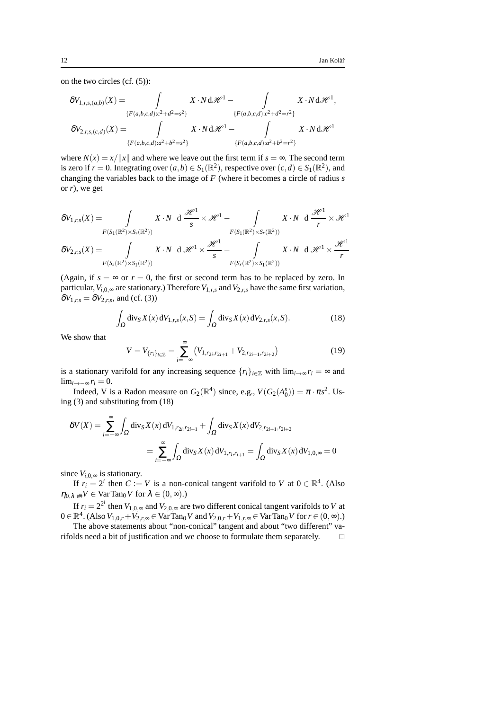on the two circles (cf. [\(5\)](#page-7-1)):

$$
\begin{aligned} \delta V_{1,r,s,(a,b)}(X) &= \int\limits_{\{F(a,b,c,d):c^2+d^2=s^2\}} X \cdot N \, \mathrm{d} \mathcal{H}^1 - \int\limits_{\{F(a,b,c,d):c^2+d^2=r^2\}} X \cdot N \, \mathrm{d} \mathcal{H}^1, \\ \delta V_{2,r,s,(c,d)}(X) &= \int\limits_{\{F(a,b,c,d):a^2+b^2=s^2\}} X \cdot N \, \mathrm{d} \mathcal{H}^1 - \int\limits_{\{F(a,b,c,d):a^2+b^2=r^2\}} X \cdot N \, \mathrm{d} \mathcal{H}^1 \end{aligned}
$$

where  $N(x) = x/||x||$  and where we leave out the first term if  $s = \infty$ . The second term is zero if  $r = 0$ . Integrating over  $(a, b) \in S_1(\mathbb{R}^2)$ , respective over  $(c, d) \in S_1(\mathbb{R}^2)$ , and changing the variables back to the image of *F* (where it becomes a circle of radius *s* or *r*), we get

$$
\delta V_{1,r,s}(X) = \int_{F(S_1(\mathbb{R}^2) \times S_s(\mathbb{R}^2))} X \cdot N \ d \frac{\mathcal{H}^1}{s} \times \mathcal{H}^1 - \int_{F(S_1(\mathbb{R}^2) \times S_r(\mathbb{R}^2))} X \cdot N \ d \frac{\mathcal{H}^1}{r} \times \mathcal{H}^1
$$
  

$$
\delta V_{2,r,s}(X) = \int_{F(S_s(\mathbb{R}^2) \times S_1(\mathbb{R}^2))} X \cdot N \ d \mathcal{H}^1 \times \frac{\mathcal{H}^1}{s} - \int_{F(S_r(\mathbb{R}^2) \times S_1(\mathbb{R}^2))} X \cdot N \ d \mathcal{H}^1 \times \frac{\mathcal{H}^1}{r}
$$

(Again, if  $s = \infty$  or  $r = 0$ , the first or second term has to be replaced by zero. In particular,  $V_{i,0,\infty}$  are stationary.) Therefore  $V_{1,r,s}$  and  $V_{2,r,s}$  have the same first variation,  $\delta V_{1,r,s} = \delta V_{2,r,s}$ , and (cf. [\(3\)](#page-6-3))

$$
\int_{\Omega} \operatorname{div}_{S} X(x) dV_{1,r,s}(x, S) = \int_{\Omega} \operatorname{div}_{S} X(x) dV_{2,r,s}(x, S).
$$
\n(18)

We show that

<span id="page-11-0"></span> $\overline{1}$ 

<span id="page-11-1"></span>
$$
V = V_{\{r_i\}_{i \in \mathbb{Z}}} = \sum_{i = -\infty}^{\infty} \left( V_{1, r_{2i}, r_{2i+1}} + V_{2, r_{2i+1}, r_{2i+2}} \right)
$$
(19)

is a stationary varifold for any increasing sequence  $\{r_i\}_{i\in\mathbb{Z}}$  with  $\lim_{i\to\infty} r_i = \infty$  and lim<sub>*i*→−∞</sub>  $r_i = 0$ .

Indeed, V is a Radon measure on  $G_2(\mathbb{R}^4)$  since, e.g.,  $V(G_2(A_0^s)) = \pi \cdot \pi s^2$ . Using [\(3\)](#page-6-3) and substituting from [\(18\)](#page-11-0)

$$
\begin{aligned} \delta V(X) &= \sum_{i=-\infty}^{\infty} \int_{\Omega} \operatorname{div}_S X(x) \, \mathrm{d}V_{1,r_{2i},r_{2i+1}} + \int_{\Omega} \operatorname{div}_S X(x) \, \mathrm{d}V_{2,r_{2i+1},r_{2i+2}} \\ &= \sum_{i=-\infty}^{\infty} \int_{\Omega} \operatorname{div}_S X(x) \, \mathrm{d}V_{1,r_i,r_{i+1}} = \int_{\Omega} \operatorname{div}_S X(x) \, \mathrm{d}V_{1,0,\infty} = 0 \end{aligned}
$$

since  $V_{i,0,\infty}$  is stationary.

If  $r_i = 2^i$  then  $C := V$  is a non-conical tangent varifold to  $V$  at  $0 \in \mathbb{R}^4$ . (Also  $\eta_{0,\lambda}$   $\#V \in \text{Var Tan}_0V$  for  $\lambda \in (0,\infty)$ .)

If  $r_i = 2^{2^i}$  then  $V_{1,0,\infty}$  and  $V_{2,0,\infty}$  are two different conical tangent varifolds to *V* at 0 ∈  $\mathbb{R}^4$ . (Also  $V_{1,0,r} + V_{2,r,\infty}$  ∈ VarTan<sub>0</sub>*V* and  $V_{2,0,r} + V_{1,r,\infty}$  ∈ VarTan<sub>0</sub>*V* for  $r \in (0,\infty)$ .)

The above statements about "non-conical" tangent and about "two different" varifolds need a bit of justification and we choose to formulate them separately. ⊓⊔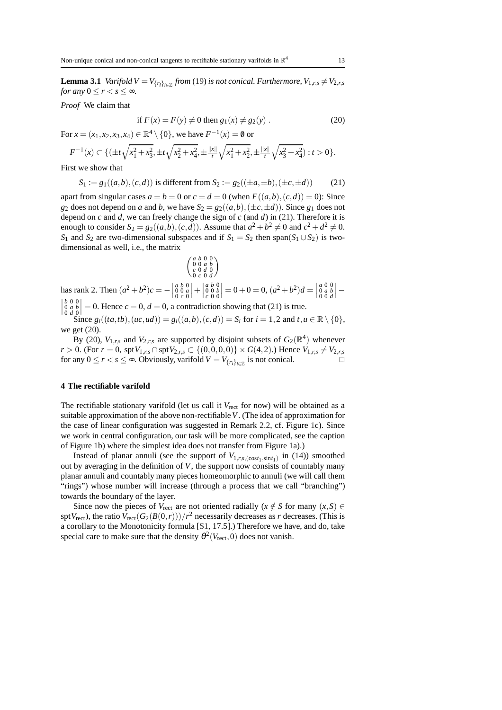<span id="page-12-3"></span>**Lemma 3.1** *Varifold V* =  $V_{\{r_i\}_{i \in \mathbb{Z}}}$  *from* [\(19\)](#page-11-1) *is not conical. Furthermore,*  $V_{1,r,s} \neq V_{2,r,s}$ *for any*  $0 \leq r < s \leq \infty$ *.* 

*Proof* We claim that

<span id="page-12-2"></span>if 
$$
F(x) = F(y) \neq 0
$$
 then  $g_1(x) \neq g_2(y)$ . (20)

For  $x = (x_1, x_2, x_3, x_4) \in \mathbb{R}^4 \setminus \{0\}$ , we have  $F^{-1}(x) = \emptyset$  or

$$
F^{-1}(x) \subset \{ (\pm t\sqrt{x_1^2 + x_3^2}, \pm t\sqrt{x_2^2 + x_4^2}, \pm \frac{\|x\|}{t}\sqrt{x_1^2 + x_2^2}, \pm \frac{\|x\|}{t}\sqrt{x_3^2 + x_4^2}) : t > 0 \}.
$$

First we show that

<span id="page-12-1"></span>
$$
S_1 := g_1((a,b),(c,d)) \text{ is different from } S_2 := g_2((\pm a, \pm b), (\pm c, \pm d)) \tag{21}
$$

apart from singular cases  $a = b = 0$  or  $c = d = 0$  (when  $F((a, b), (c, d)) = 0$ ): Since *g*<sub>2</sub> does not depend on *a* and *b*, we have  $S_2 = g_2((a, b), (\pm c, \pm d))$ . Since  $g_1$  does not depend on *c* and *d*, we can freely change the sign of *c* (and *d*) in [\(21\)](#page-12-1). Therefore it is enough to consider  $S_2 = g_2((a, b), (c, d))$ . Assume that  $a^2 + b^2 \neq 0$  and  $c^2 + d^2 \neq 0$ . *S*<sub>1</sub> and *S*<sub>2</sub> are two-dimensional subspaces and if *S*<sub>1</sub> = *S*<sub>2</sub> then span(*S*<sub>1</sub> ∪ *S*<sub>2</sub>) is twodimensional as well, i.e., the matrix

$$
\left(\begin{smallmatrix} a & b & 0 & 0 \\ 0 & 0 & a & b \\ c & 0 & d & 0 \\ 0 & c & 0 & d \end{smallmatrix}\right)
$$

has rank 2. Then  $(a^2 + b^2)c =$ *a b* 0 0 0 *a* 0 *c* 0  $\Big\vert +\Big\vert$ *a b* 0 0 0 *b c* 0 0  $= 0 + 0 = 0, (a^2 + b^2)d =$ *a* 0 0 0 *a b* 0 0 *d* has rank 2. Then  $(a^2 + b^2)c = -\begin{vmatrix} a & b & 0 \\ 0 & 0 & a \\ 0 & c & 0 \end{vmatrix} + \begin{vmatrix} a & b & 0 \\ 0 & 0 & b \\ 0 & 0 & 0 \end{vmatrix} = 0 + 0 = 0$ ,  $(a^2 + b^2)d = \begin{vmatrix} a & 0 & 0 \\ 0 & a & b \\ 0 & 0 & d \end{vmatrix} - \begin{vmatrix} b & 0 & 0 \\ 0 & a & b \\ 0 & d & 0 \end{vmatrix} = 0$ . Hence  $c = 0$ ,  $d = 0$ , a co *b* 0 0 0 *a b* 0 *d* 0  $= 0$ . Hence  $c = 0$ ,  $d = 0$ , a contradiction showing that [\(21\)](#page-12-1) is true.

Since  $g_i((ta, tb), (uc, ud)) = g_i((a, b), (c, d)) = S_i$  for  $i = 1, 2$  and  $t, u \in \mathbb{R} \setminus \{0\},$ we get [\(20\)](#page-12-2).

By [\(20\)](#page-12-2),  $V_{1,r,s}$  and  $V_{2,r,s}$  are supported by disjoint subsets of  $G_2(\mathbb{R}^4)$  whenever *r* > 0. (For *r* = 0, spt  $V_{1,r,s}$  ∩ spt  $V_{2,r,s}$  ⊂ {(0,0,0,0)} × *G*(4,2).) Hence  $V_{1,r,s}$  ≠  $V_{2,r,s}$ for any  $0 \le r < s \le \infty$ . Obviously, varifold  $V = V_{\{r_i\}_{i \in \mathbb{Z}}}$  is not conical. □

# <span id="page-12-0"></span>**4 The rectifiable varifold**

The rectifiable stationary varifold (let us call it *V*<sub>rect</sub> for now) will be obtained as a suitable approximation of the above non-rectifiable*V*. (The idea of approximation for the case of linear configuration was suggested in Remark [2.2,](#page-8-4) cf. Figure [1c](#page-1-2)). Since we work in central configuration, our task will be more complicated, see the caption of Figure [1b](#page-1-2)) where the simplest idea does not transfer from Figure [1a](#page-1-2)).)

Instead of planar annuli (see the support of  $V_{1,r,s,(cost_1,sint_1)}$  in [\(14\)](#page-10-2)) smoothed out by averaging in the definition of *V*, the support now consists of countably many planar annuli and countably many pieces homeomorphic to annuli (we will call them "rings") whose number will increase (through a process that we call "branching") towards the boundary of the layer.

Since now the pieces of  $V_{\text{rect}}$  are not oriented radially ( $x \notin S$  for many ( $x, S$ ) ∈ spt  $V_{\text{rect}}$ ), the ratio  $V_{\text{rect}}(G_2(B(0,r)))/r^2$  necessarily decreases as *r* decreases. (This is a corollary to the Monotonicity formula [\[S1,](#page-36-10) 17.5].) Therefore we have, and do, take special care to make sure that the density  $\theta^2(V_{\text{rect}},0)$  does not vanish.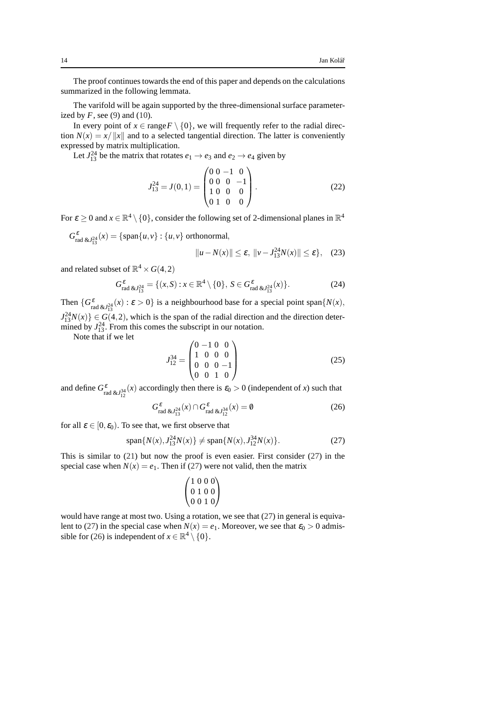The proof continues towards the end of this paper and depends on the calculations summarized in the following lemmata.

The varifold will be again supported by the three-dimensional surface parameterized by  $F$ , see [\(9\)](#page-9-3) and [\(10\)](#page-9-4).

In every point of  $x \in \text{range } F \setminus \{0\}$ , we will frequently refer to the radial direction  $N(x) = x / ||x||$  and to a selected tangential direction. The latter is conveniently expressed by matrix multiplication.

Let  $J_{13}^{24}$  be the matrix that rotates  $e_1 \rightarrow e_3$  and  $e_2 \rightarrow e_4$  given by

<span id="page-13-2"></span>
$$
J_{13}^{24} = J(0,1) = \begin{pmatrix} 0 & 0 & -1 & 0 \\ 0 & 0 & 0 & -1 \\ 1 & 0 & 0 & 0 \\ 0 & 1 & 0 & 0 \end{pmatrix}.
$$
 (22)

For  $\varepsilon \ge 0$  and  $x \in \mathbb{R}^4 \setminus \{0\}$ , consider the following set of 2-dimensional planes in  $\mathbb{R}^4$ 

 $G_{\text{rad \& } J_{13}^{24}}^{\varepsilon}(x) = \{ \text{span}\{u, v\} : \{u, v\} \text{ orthonormal},$ 

$$
||u - N(x)|| \le \varepsilon, ||v - J_{13}^{24}N(x)|| \le \varepsilon
$$
, (23)

and related subset of  $\mathbb{R}^4 \times G(4,2)$ 

<span id="page-13-3"></span>
$$
G_{\text{rad\&}l_{13}^{24}}^{\varepsilon} = \{ (x, S) : x \in \mathbb{R}^4 \setminus \{0\}, \ S \in G_{\text{rad\&}l_{13}^{24}}^{\varepsilon}(x) \}. \tag{24}
$$

Then  $\{G_{rad \& \mathcal{J}_{13}^2}(x) : \varepsilon > 0\}$  is a neighbourhood base for a special point span $\{N(x),\}$  $J_{13}^{24}N(x)$   $\in G(4,2)$ , which is the span of the radial direction and the direction determined by  $J_{13}^{24}$ . From this comes the subscript in our notation.

Note that if we let

$$
J_{12}^{34} = \begin{pmatrix} 0 & -1 & 0 & 0 \\ 1 & 0 & 0 & 0 \\ 0 & 0 & 0 & -1 \\ 0 & 0 & 1 & 0 \end{pmatrix}
$$
 (25)

and define  $G_{rad}^{\varepsilon}$   $\& J_{12}^{34}(x)$  accordingly then there is  $\varepsilon_0 > 0$  (independent of *x*) such that

<span id="page-13-1"></span>
$$
G_{\text{rad }\&J_{13}^{24}}^{\varepsilon}(x) \cap G_{\text{rad }\&J_{12}^{34}}^{\varepsilon}(x) = \emptyset
$$
 (26)

for all  $\varepsilon \in [0, \varepsilon_0)$ . To see that, we first observe that

<span id="page-13-0"></span>
$$
\text{span}\{N(x), J_{13}^{24}N(x)\}\neq \text{span}\{N(x), J_{12}^{34}N(x)\}.\tag{27}
$$

This is similar to [\(21\)](#page-12-1) but now the proof is even easier. First consider [\(27\)](#page-13-0) in the special case when  $N(x) = e_1$ . Then if [\(27\)](#page-13-0) were not valid, then the matrix

$$
\begin{pmatrix} 1 & 0 & 0 & 0 \\ 0 & 1 & 0 & 0 \\ 0 & 0 & 1 & 0 \end{pmatrix}
$$

would have range at most two. Using a rotation, we see that [\(27\)](#page-13-0) in general is equiva-lent to [\(27\)](#page-13-0) in the special case when  $N(x) = e_1$ . Moreover, we see that  $\varepsilon_0 > 0$  admis-sible for [\(26\)](#page-13-1) is independent of  $x \in \mathbb{R}^4 \setminus \{0\}.$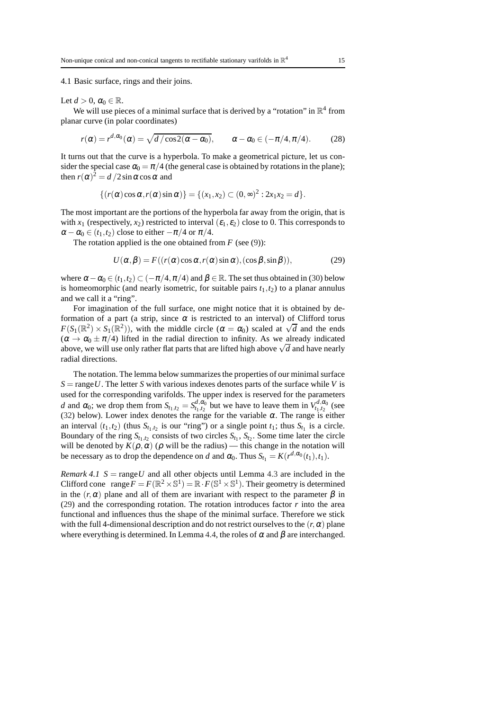<span id="page-14-0"></span>4.1 Basic surface, rings and their joins.

Let  $d > 0$ ,  $\alpha_0 \in \mathbb{R}$ .

We will use pieces of a minimal surface that is derived by a "rotation" in  $\mathbb{R}^4$  from planar curve (in polar coordinates)

<span id="page-14-2"></span>
$$
r(\alpha) = r^{d, \alpha_0}(\alpha) = \sqrt{d/\cos 2(\alpha - \alpha_0)}, \qquad \alpha - \alpha_0 \in (-\pi/4, \pi/4). \tag{28}
$$

It turns out that the curve is a hyperbola. To make a geometrical picture, let us consider the special case  $\alpha_0 = \pi/4$  (the general case is obtained by rotations in the plane); then  $r(\alpha)^2 = d/2 \sin \alpha \cos \alpha$  and

$$
\{(r(\alpha)\cos\alpha, r(\alpha)\sin\alpha)\}=\{(x_1,x_2)\subset (0,\infty)^2:2x_1x_2=d\}.
$$

The most important are the portions of the hyperbola far away from the origin, that is with  $x_1$  (respectively,  $x_2$ ) restricted to interval  $(\varepsilon_1, \varepsilon_2)$  close to 0. This corresponds to  $\alpha - \alpha_0 \in (t_1, t_2)$  close to either  $-\pi/4$  or  $\pi/4$ .

The rotation applied is the one obtained from  $F$  (see [\(9\)](#page-9-3)):

<span id="page-14-1"></span>
$$
U(\alpha, \beta) = F((r(\alpha)\cos\alpha, r(\alpha)\sin\alpha), (\cos\beta, \sin\beta)),
$$
 (29)

where  $\alpha - \alpha_0 \in (t_1, t_2) \subset (-\pi/4, \pi/4)$  and  $\beta \in \mathbb{R}$ . The set thus obtained in [\(30\)](#page-15-0) below is homeomorphic (and nearly isometric, for suitable pairs  $t_1, t_2$ ) to a planar annulus and we call it a "ring".

For imagination of the full surface, one might notice that it is obtained by deformation of a part (a strip, since  $\alpha$  is restricted to an interval) of Clifford torus *F*( $S_1(\mathbb{R}^2) \times S_1(\mathbb{R}^2)$ ), with the middle circle ( $\alpha = \alpha_0$ ) scaled at  $\sqrt{d}$  and the ends  $(\alpha \rightarrow \alpha_0 \pm \pi/4)$  lifted in the radial direction to infinity. As we already indicated above, we will use only rather flat parts that are lifted high above  $\sqrt{d}$  and have nearly radial directions.

The notation. The lemma below summarizes the properties of our minimal surface  $S = \text{range } U$ . The letter *S* with various indexes denotes parts of the surface while *V* is used for the corresponding varifolds. The upper index is reserved for the parameters *d* and  $\alpha_0$ ; we drop them from  $S_{t_1,t_2} = S_{t_1,t_2}^{d,\alpha_0}$  but we have to leave them in  $V_{t_1,t_2}^{d,\alpha_0}$  (see [\(32\)](#page-15-1) below). Lower index denotes the range for the variable  $\alpha$ . The range is either an interval  $(t_1, t_2)$  (thus  $S_{t_1, t_2}$  is our "ring") or a single point  $t_1$ ; thus  $S_{t_1}$  is a circle. Boundary of the ring  $S_{t_1,t_2}$  consists of two circles  $S_{t_1}$ ,  $S_{t_2}$ . Some time later the circle will be denoted by  $K(\rho, \alpha)$  ( $\rho$  will be the radius) — this change in the notation will be necessary as to drop the dependence on *d* and  $\alpha_0$ . Thus  $S_{t_1} = K(r^{d, \alpha_0}(t_1), t_1)$ .

<span id="page-14-3"></span>*Remark 4.1*  $S = \text{range } U$  and all other objects until Lemma [4.3](#page-24-1) are included in the Clifford cone range $F = F(\mathbb{R}^2 \times \mathbb{S}^1) = \mathbb{R} \cdot F(\mathbb{S}^1 \times \mathbb{S}^1)$ . Their geometry is determined in the  $(r, \alpha)$  plane and all of them are invariant with respect to the parameter  $\beta$  in [\(29\)](#page-14-1) and the corresponding rotation. The rotation introduces factor *r* into the area functional and influences thus the shape of the minimal surface. Therefore we stick with the full 4-dimensional description and do not restrict ourselves to the  $(r, \alpha)$  plane where everything is determined. In Lemma [4.4,](#page-29-0) the roles of  $\alpha$  and  $\beta$  are interchanged.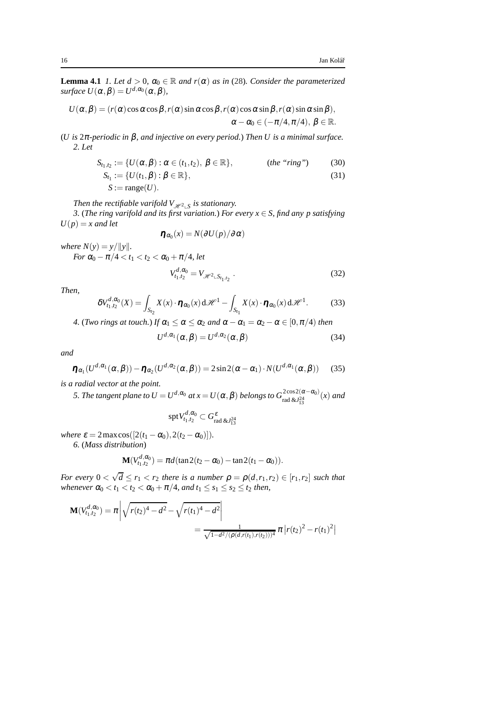**Lemma 4.1** *1. Let*  $d > 0$ *,*  $\alpha_0 \in \mathbb{R}$  *and r(* $\alpha$ *) as in [\(28\)](#page-14-2). Consider the parameterized surface*  $U(\alpha, \beta) = U^{d, \alpha_0}(\alpha, \beta)$ *,* 

$$
U(\alpha, \beta) = (r(\alpha)\cos\alpha\cos\beta, r(\alpha)\sin\alpha\cos\beta, r(\alpha)\cos\alpha\sin\beta, r(\alpha)\sin\alpha\sin\beta),
$$
  

$$
\alpha - \alpha_0 \in (-\pi/4, \pi/4), \ \beta \in \mathbb{R}.
$$

(*U is* 2π*-periodic in* β*, and injective on every period.*) *Then U is a minimal surface. 2. Let*

$$
S_{t_1,t_2} := \{ U(\alpha,\beta) : \alpha \in (t_1,t_2), \beta \in \mathbb{R} \}, \qquad \text{(the "ring")} \qquad (30)
$$
  

$$
S_{t_1} := \{ U(t_1,\beta) : \beta \in \mathbb{R} \}, \qquad (31)
$$

$$
S := \operatorname{range}(U).
$$

*Then the rectifiable varifold*  $V_{\mathscr{H}^2\_\mathsf{S}}$  *is stationary.* 

*3.* (*The ring varifold and its first variation.*) *For every x* ∈ *S, find any p satisfying*  $U(p) = x$  *and let* 

<span id="page-15-2"></span><span id="page-15-0"></span>
$$
\eta_{\alpha_0}(x) = N(\partial U(p)/\partial \alpha)
$$

*where*  $N(y) = y / ||y||$ .

$$
For \alpha_0-\pi/4 < t_1 < t_2 < \alpha_0+\pi/4, let
$$

<span id="page-15-1"></span>
$$
V_{t_1,t_2}^{d,\alpha_0} = V_{\mathcal{H}^2 \sqcup S_{t_1,t_2}} \,. \tag{32}
$$

*Then,*

<span id="page-15-3"></span>
$$
\delta V_{t_1,t_2}^{d,\alpha_0}(X) = \int_{S_{t_2}} X(x) \cdot \pmb{\eta}_{\alpha_0}(x) d\mathcal{H}^1 - \int_{S_{t_1}} X(x) \cdot \pmb{\eta}_{\alpha_0}(x) d\mathcal{H}^1. \tag{33}
$$

*4.* (*Two rings at touch.*) *If*  $\alpha_1 \leq \alpha \leq \alpha_2$  *and*  $\alpha - \alpha_1 = \alpha_2 - \alpha \in [0, \pi/4)$  *then* 

<span id="page-15-5"></span>
$$
U^{d,\alpha_1}(\alpha,\beta) = U^{d,\alpha_2}(\alpha,\beta) \tag{34}
$$

*and*

<span id="page-15-4"></span>
$$
\boldsymbol{\eta}_{\alpha_1}(U^{d,\alpha_1}(\boldsymbol{\alpha},\boldsymbol{\beta})) - \boldsymbol{\eta}_{\alpha_2}(U^{d,\alpha_2}(\boldsymbol{\alpha},\boldsymbol{\beta})) = 2\sin 2(\boldsymbol{\alpha} - \boldsymbol{\alpha}_1) \cdot N(U^{d,\alpha_1}(\boldsymbol{\alpha},\boldsymbol{\beta})) \tag{35}
$$

*is a radial vector at the point.*

*5. The tangent plane to*  $U = U^{d,\alpha_0}$  *at*  $x = U(\alpha, \beta)$  *belongs to*  $G^{2\cos 2(\alpha-\alpha_0)}_{\rm rad} (x)$  *and* 

$$
\mathrm{spt} \, V_{t_1,t_2}^{d,\alpha_0} \subset G^\varepsilon_\mathrm{rad \, \&J_{13}^{24}}
$$

*where*  $\varepsilon = 2 \max \cos([2(t_1 - \alpha_0), 2(t_2 - \alpha_0)]).$ 

*6.* (*Mass distribution*)

$$
\mathbf{M}(V_{t_1,t_2}^{d,\alpha_0}) = \pi d(\tan 2(t_2 - \alpha_0) - \tan 2(t_1 - \alpha_0)).
$$

*For every*  $0 < \sqrt{d} \le r_1 < r_2$  *there is a number*  $\rho = \rho(d, r_1, r_2) \in [r_1, r_2]$  *such that whenever*  $\alpha_0 < t_1 < t_2 < \alpha_0 + \pi/4$ *, and*  $t_1 \leq s_1 \leq s_2 \leq t_2$  *then,* 

$$
\mathbf{M}(V_{t_1,t_2}^{d,\alpha_0}) = \pi \left| \sqrt{r(t_2)^4 - d^2} - \sqrt{r(t_1)^4 - d^2} \right|
$$
  
= 
$$
\frac{1}{\sqrt{1 - d^2/(\rho(d, r(t_1), r(t_2)))^4}} \pi |r(t_2)^2 - r(t_1)^2|
$$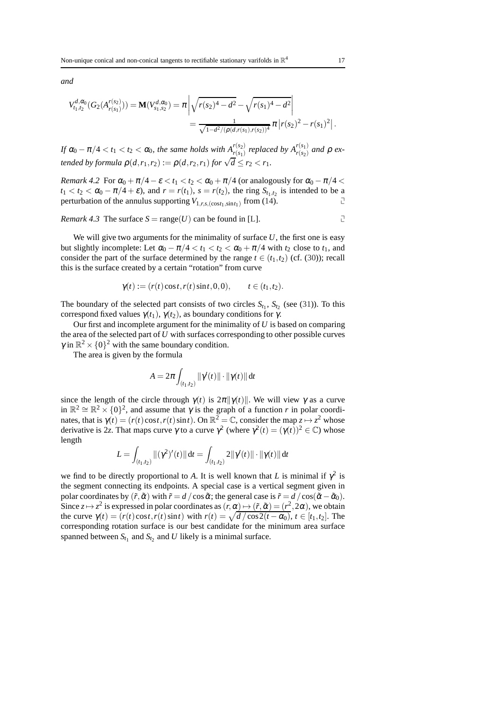*and*

$$
V_{t_1,t_2}^{d,\alpha_0}(G_2(A_{r(s_1)}^{r(s_2)})) = \mathbf{M}(V_{s_1,s_2}^{d,\alpha_0}) = \pi \left| \sqrt{r(s_2)^4 - d^2} - \sqrt{r(s_1)^4 - d^2} \right|
$$
  
= 
$$
\frac{1}{\sqrt{1 - d^2/(\rho(d,r(s_1),r(s_2))^4}} \pi |r(s_2)^2 - r(s_1)^2|.
$$

*If*  $\alpha_0 - \pi/4 < t_1 < t_2 < \alpha_0$ , the same holds with  $A_{r(s_1)}^{r(s_2)}$  replaced by  $A_{r(s_2)}^{r(s_1)}$  and  $\rho$  ex*tended by formula*  $\rho(d, r_1, r_2) := \rho(d, r_2, r_1)$  *for*  $\sqrt{d} \leq r_2 < r_1$ *.* 

*Remark 4.2* For  $\alpha_0 + \pi/4 - \varepsilon < t_1 < t_2 < \alpha_0 + \pi/4$  (or analogously for  $\alpha_0 - \pi/4 <$  $t_1 < t_2 < \alpha_0 - \pi/4 + \varepsilon$ , and  $r = r(t_1)$ ,  $s = r(t_2)$ , the ring  $S_{t_1,t_2}$  is intended to be a perturbation of the annulus supporting  $V_{1,r,s,(\cos t_1,\sin t_1)}$  from [\(14\)](#page-10-2).

*Remark 4.3* The surface  $S = \text{range}(U)$  can be found in [\[L\]](#page-36-13).

We will give two arguments for the minimality of surface  $U$ , the first one is easy but slightly incomplete: Let  $\alpha_0 - \pi/4 < t_1 < t_2 < \alpha_0 + \pi/4$  with  $t_2$  close to  $t_1$ , and consider the part of the surface determined by the range  $t \in (t_1, t_2)$  (cf. [\(30\)](#page-15-0)); recall this is the surface created by a certain "rotation" from curve

$$
\gamma(t) := (r(t)\cos t, r(t)\sin t, 0, 0), \quad t \in (t_1, t_2).
$$

The boundary of the selected part consists of two circles  $S_{t_1}$ ,  $S_{t_2}$  (see [\(31\)](#page-15-2)). To this correspond fixed values  $\gamma(t_1)$ ,  $\gamma(t_2)$ , as boundary conditions for  $\gamma$ .

Our first and incomplete argument for the minimality of *U* is based on comparing the area of the selected part of *U* with surfaces corresponding to other possible curves  $\gamma$  in  $\mathbb{R}^2 \times \{0\}^2$  with the same boundary condition.

The area is given by the formula

$$
A = 2\pi \int_{(t_1,t_2)} ||\gamma'(t)|| \cdot ||\gamma(t)|| dt
$$

since the length of the circle through  $\gamma(t)$  is  $2\pi ||\gamma(t)||$ . We will view  $\gamma$  as a curve in  $\mathbb{R}^2 \cong \mathbb{R}^2 \times \{0\}^2$ , and assume that  $\gamma$  is the graph of a function *r* in polar coordinates, that is  $\gamma(t) = (r(t)\cos t, r(t)\sin t)$ . On  $\mathbb{R}^2 = \mathbb{C}$ , consider the map  $z \mapsto z^2$  whose derivative is 2*z*. That maps curve  $\gamma$  to a curve  $\gamma^2$  (where  $\gamma^2(t) = (\gamma(t))^2 \in \mathbb{C}$ ) whose length

$$
L = \int_{(t_1,t_2)} \| (\gamma^2)'(t) \| dt = \int_{(t_1,t_2)} 2 \| \gamma'(t) \| \cdot \| \gamma(t) \| dt
$$

we find to be directly proportional to *A*. It is well known that *L* is minimal if  $\gamma^2$  is the segment connecting its endpoints. A special case is a vertical segment given in polar coordinates by  $(\tilde{r}, \tilde{\alpha})$  with  $\tilde{r} = d / \cos \tilde{\alpha}$ ; the general case is  $\tilde{r} = d / \cos(\tilde{\alpha} - \tilde{\alpha}_0)$ . Since  $z \mapsto z^2$  is expressed in polar coordinates as  $(r, \alpha) \mapsto (\tilde{r}, \tilde{\alpha}) = (r^2, 2\alpha)$ , we obtain the curve  $\gamma(t) = (r(t)\cos t, r(t)\sin t)$  with  $r(t) = \sqrt{\frac{d}{\cos 2(t - \alpha_0)}}$ ,  $t \in [t_1, t_2]$ . The corresponding rotation surface is our best candidate for the minimum area surface spanned between  $S_{t_1}$  and  $S_{t_2}$  and *U* likely is a minimal surface.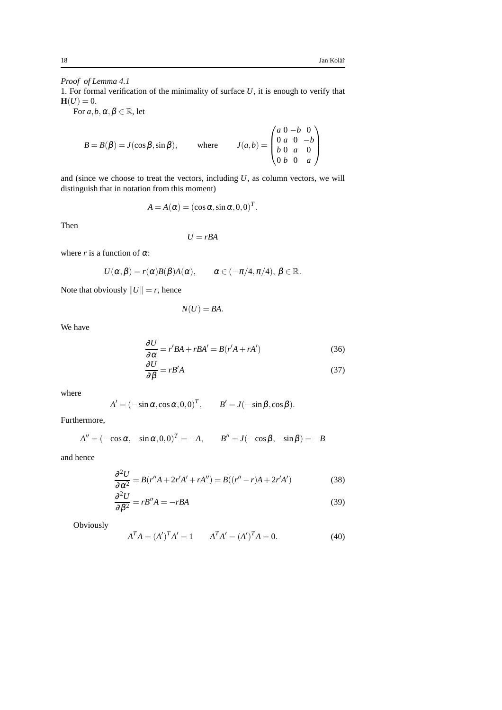# *Proof of Lemma [4.1](#page-14-3)*

1. For formal verification of the minimality of surface *U*, it is enough to verify that  $H(U) = 0.$ 

For  $a, b, \alpha, \beta \in \mathbb{R}$ , let

$$
B = B(\beta) = J(\cos \beta, \sin \beta), \quad \text{where} \quad J(a, b) = \begin{pmatrix} a & 0 & -b & 0 \\ 0 & a & 0 & -b \\ b & 0 & a & 0 \\ 0 & b & 0 & a \end{pmatrix}
$$

and (since we choose to treat the vectors, including *U*, as column vectors, we will distinguish that in notation from this moment)

$$
A = A(\alpha) = (\cos \alpha, \sin \alpha, 0, 0)^T.
$$

Then

$$
U=rBA
$$

where *r* is a function of  $\alpha$ :

$$
U(\alpha,\beta)=r(\alpha)B(\beta)A(\alpha),\qquad \alpha\in(-\pi/4,\pi/4),\,\beta\in\mathbb{R}.
$$

Note that obviously  $||U|| = r$ , hence

<span id="page-17-2"></span><span id="page-17-1"></span>
$$
N(U)=BA.
$$

We have

$$
\frac{\partial U}{\partial \alpha} = r'BA + rBA' = B(r'A + rA')
$$
(36)  

$$
\frac{\partial U}{\partial \beta} = rB'A
$$
(37)

where

$$
A' = (-\sin \alpha, \cos \alpha, 0, 0)^T, \qquad B' = J(-\sin \beta, \cos \beta).
$$

Furthermore,

$$
A'' = (-\cos \alpha, -\sin \alpha, 0, 0)^T = -A, \qquad B'' = J(-\cos \beta, -\sin \beta) = -B
$$

and hence

$$
\frac{\partial^2 U}{\partial \alpha^2} = B(r''A + 2r'A' + rA'') = B((r'' - r)A + 2r'A')
$$
(38)

$$
\frac{\partial^2 U}{\partial \beta^2} = rB''A = -rBA
$$
\n(39)

Obviously

<span id="page-17-0"></span>
$$
ATA = (A')TA' = 1
$$
 
$$
ATA' = (A')TA = 0.
$$
 (40)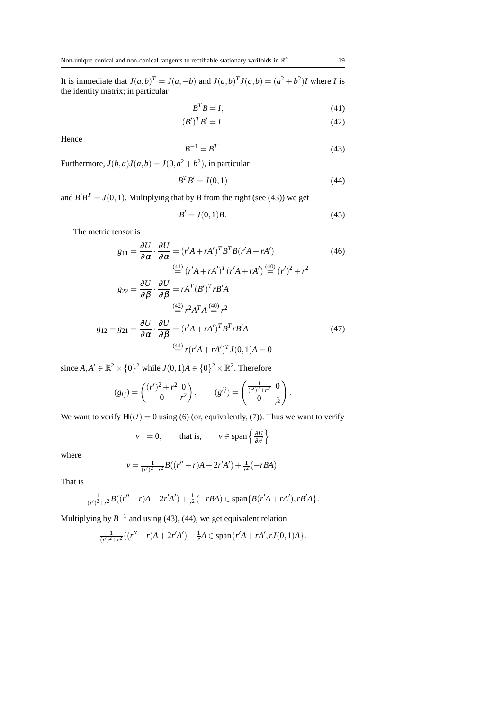It is immediate that  $J(a,b)^{T} = J(a,-b)$  and  $J(a,b)^{T}J(a,b) = (a^{2} + b^{2})J$  where *I* is the identity matrix; in particular

<span id="page-18-2"></span><span id="page-18-1"></span>
$$
B^T B = I,\t\t(41)
$$

$$
(B')^T B' = I. \tag{42}
$$

Hence

<span id="page-18-0"></span>
$$
B^{-1} = B^T. \tag{43}
$$

Furthermore,  $J(b,a)J(a,b) = J(0, a^2 + b^2)$ , in particular

<span id="page-18-3"></span>
$$
B^T B' = J(0,1) \tag{44}
$$

and  $B'B^T = J(0,1)$ . Multiplying that by *B* from the right (see [\(43\)](#page-18-0)) we get

<span id="page-18-6"></span><span id="page-18-5"></span><span id="page-18-4"></span>
$$
B' = J(0,1)B.\t(45)
$$

The metric tensor is

$$
g_{11} = \frac{\partial U}{\partial \alpha} \cdot \frac{\partial U}{\partial \alpha} = (r'A + rA')^T B^T B (r'A + rA')
$$
(46)  

$$
\stackrel{\text{(41)}}{=} (r'A + rA')^T (r'A + rA') \stackrel{\text{(40)}}{=} (r')^2 + r^2
$$

$$
g_{22} = \frac{\partial U}{\partial \beta} \cdot \frac{\partial U}{\partial \beta} = rA^T (B')^T rB'A
$$

$$
\stackrel{\text{(42)}}{=} r^2 A^T A \stackrel{\text{(40)}}{=} r^2
$$

$$
g_{12} = g_{21} = \frac{\partial U}{\partial \alpha} \cdot \frac{\partial U}{\partial \beta} = (r'A + rA')^T B^T rB'A
$$
(47)  

$$
\stackrel{\text{(44)}}{=} r(r'A + rA')^T J(0, 1)A = 0
$$

since  $A, A' \in \mathbb{R}^2 \times \{0\}^2$  while  $J(0,1)A \in \{0\}^2 \times \mathbb{R}^2$ . Therefore

$$
(g_{ij}) = \begin{pmatrix} (r')^2 + r^2 & 0 \\ 0 & r^2 \end{pmatrix}, \qquad (g^{ij}) = \begin{pmatrix} \frac{1}{(r')^2 + r^2} & 0 \\ 0 & \frac{1}{r^2} \end{pmatrix}.
$$

We want to verify  $\mathbf{H}(U) = 0$  using [\(6\)](#page-7-0) (or, equivalently, [\(7\)](#page-7-2)). Thus we want to verify

$$
v^{\perp} = 0
$$
, that is,  $v \in \text{span}\left\{\frac{\partial U}{\partial x^i}\right\}$ 

where

$$
v = \frac{1}{(r')^2 + r^2} B((r'' - r)A + 2r'A') + \frac{1}{r^2}(-rBA).
$$

That is

$$
\frac{1}{(r')^2+r^2}B((r''-r)A+2r'A')+\frac{1}{r^2}(-rBA)\in\text{span}\{B(r'A+rd'),rB'A\}.
$$

Multiplying by  $B^{-1}$  and using [\(43\)](#page-18-0), [\(44\)](#page-18-3), we get equivalent relation

$$
\frac{1}{(r')^2 + r^2}((r'' - r)A + 2r'A') - \frac{1}{r}A \in \text{span}\{r'A + rA', rJ(0, 1)A\}.
$$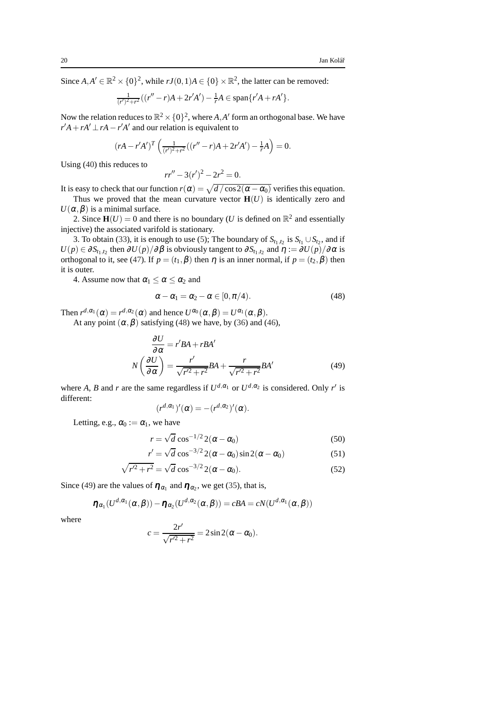Since  $A, A' \in \mathbb{R}^2 \times \{0\}^2$ , while  $rJ(0,1)A \in \{0\} \times \mathbb{R}^2$ , the latter can be removed:

$$
\frac{1}{(r')^2 + r^2}((r'' - r)A + 2r'A') - \frac{1}{r}A \in \text{span}\{r'A + rA'\}.
$$

Now the relation reduces to  $\mathbb{R}^2 \times \{0\}^2$ , where *A*, *A*<sup> $\prime$ </sup> form an orthogonal base. We have  $r'A + rA' \perp rA - r'A'$  and our relation is equivalent to

$$
(rA - r'A')^{T} \left( \frac{1}{(r')^{2} + r^{2}} ((r'' - r)A + 2r'A') - \frac{1}{r}A \right) = 0.
$$

Using [\(40\)](#page-17-0) this reduces to

$$
rr'' - 3(r')^2 - 2r^2 = 0.
$$

It is easy to check that our function  $r(\alpha) = \sqrt{d / \cos 2(\alpha - \alpha_0)}$  verifies this equation.

Thus we proved that the mean curvature vector  $\mathbf{H}(U)$  is identically zero and  $U(\alpha, \beta)$  is a minimal surface.

2. Since  $\mathbf{H}(U) = 0$  and there is no boundary (*U* is defined on  $\mathbb{R}^2$  and essentially injective) the associated varifold is stationary.

3. To obtain [\(33\)](#page-15-3), it is enough to use [\(5\)](#page-7-1); The boundary of  $S_{t_1,t_2}$  is  $S_{t_1} \cup S_{t_2}$ , and if  $U(p) \in \partial S_{t_1,t_2}$  then  $\partial U(p)/\partial \beta$  is obviously tangent to  $\partial S_{t_1,t_2}$  and  $\eta := \partial U(p)/\partial \alpha$  is orthogonal to it, see [\(47\)](#page-18-4). If  $p = (t_1, \beta)$  then  $\eta$  is an inner normal, if  $p = (t_2, \beta)$  then it is outer.

4. Assume now that  $\alpha_1 \leq \alpha \leq \alpha_2$  and

<span id="page-19-0"></span>
$$
\alpha - \alpha_1 = \alpha_2 - \alpha \in [0, \pi/4). \tag{48}
$$

Then  $r^{d, \alpha_1}(\alpha) = r^{d, \alpha_2}(\alpha)$  and hence  $U^{\alpha_0}(\alpha, \beta) = U^{\alpha_1}(\alpha, \beta)$ .

At any point  $(\alpha, \beta)$  satisfying [\(48\)](#page-19-0) we have, by [\(36\)](#page-17-1) and [\(46\)](#page-18-5),

$$
\frac{\partial U}{\partial \alpha} = r'BA + rBA'
$$

$$
N\left(\frac{\partial U}{\partial \alpha}\right) = \frac{r'}{\sqrt{r'^2 + r^2}}BA + \frac{r}{\sqrt{r'^2 + r^2}}BA'
$$
(49)

where *A*, *B* and *r* are the same regardless if  $U^{d, \alpha_1}$  or  $U^{d, \alpha_2}$  is considered. Only *r'* is different:

<span id="page-19-2"></span><span id="page-19-1"></span>
$$
(r^{d,\alpha_1})'(\alpha) = -(r^{d,\alpha_2})'(\alpha).
$$

Letting, e.g.,  $\alpha_0 := \alpha_1$ , we have

<span id="page-19-3"></span>
$$
r = \sqrt{d} \cos^{-1/2} 2(\alpha - \alpha_0)
$$
 (50)

$$
r' = \sqrt{d} \cos^{-3/2} 2(\alpha - \alpha_0) \sin 2(\alpha - \alpha_0)
$$
 (51)

$$
\sqrt{r'^2 + r^2} = \sqrt{d} \cos^{-3/2} 2(\alpha - \alpha_0).
$$
 (52)

Since [\(49\)](#page-19-1) are the values of  $\eta_{\alpha_1}$  and  $\eta_{\alpha_2}$ , we get [\(35\)](#page-15-4), that is,

$$
\boldsymbol{\eta}_{\alpha_1}(U^{d,\alpha_1}(\boldsymbol{\alpha},\boldsymbol{\beta})) - \boldsymbol{\eta}_{\alpha_2}(U^{d,\alpha_2}(\boldsymbol{\alpha},\boldsymbol{\beta})) = cBA = cN(U^{d,\alpha_1}(\boldsymbol{\alpha},\boldsymbol{\beta}))
$$

where

$$
c = \frac{2r'}{\sqrt{r'^2 + r^2}} = 2\sin 2(\alpha - \alpha_0).
$$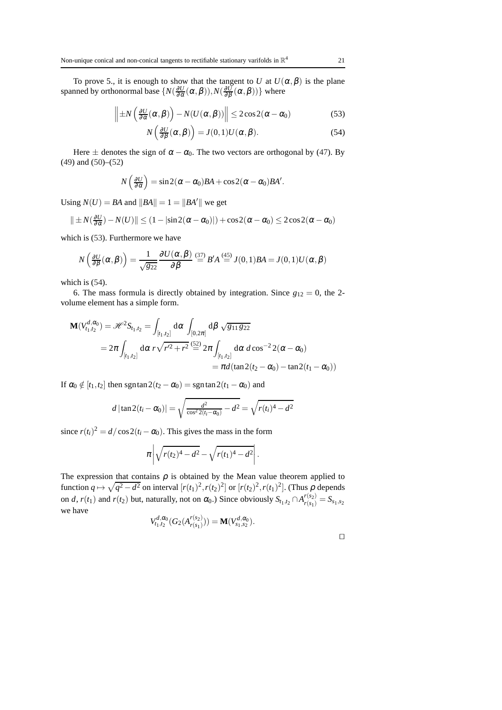To prove 5., it is enough to show that the tangent to *U* at  $U(\alpha, \beta)$  is the plane spanned by orthonormal base  $\{N(\frac{\partial U}{\partial \alpha}(\alpha, \beta)), N(\frac{\partial U}{\partial \beta}(\alpha, \beta))\}$  where

$$
\left\| \pm N \left( \frac{\partial U}{\partial \alpha} (\alpha, \beta) \right) - N(U(\alpha, \beta)) \right\| \leq 2 \cos 2(\alpha - \alpha_0) \tag{53}
$$

<span id="page-20-1"></span><span id="page-20-0"></span>
$$
N\left(\frac{\partial U}{\partial \beta}(\alpha,\beta)\right) = J(0,1)U(\alpha,\beta). \tag{54}
$$

Here  $\pm$  denotes the sign of  $\alpha - \alpha_0$ . The two vectors are orthogonal by [\(47\)](#page-18-4). By [\(49\)](#page-19-1) and [\(50\)](#page-19-2)–[\(52\)](#page-19-3)

$$
N\left(\frac{\partial U}{\partial \alpha}\right) = \sin 2(\alpha - \alpha_0)BA + \cos 2(\alpha - \alpha_0)BA'.
$$

Using  $N(U) = BA$  and  $||BA|| = 1 = ||BA'||$  we get

$$
\|\pm N(\frac{\partial U}{\partial \alpha})-N(U)\| \le (1-|\sin 2(\alpha-\alpha_0)|)+\cos 2(\alpha-\alpha_0) \le 2\cos 2(\alpha-\alpha_0)
$$

which is [\(53\)](#page-20-0). Furthermore we have

$$
N\left(\frac{\partial U}{\partial \beta}(\alpha,\beta)\right) = \frac{1}{\sqrt{g_{22}}}\frac{\partial U(\alpha,\beta)}{\partial \beta} \stackrel{(37)}{=} B'A \stackrel{(45)}{=} J(0,1)BA = J(0,1)U(\alpha,\beta)
$$

which is [\(54\)](#page-20-1).

6. The mass formula is directly obtained by integration. Since  $g_{12} = 0$ , the 2volume element has a simple form.

$$
\mathbf{M}(V_{t_1,t_2}^{d,\alpha_0}) = \mathcal{H}^2 S_{t_1,t_2} = \int_{[t_1,t_2]} d\alpha \int_{[0,2\pi]} d\beta \sqrt{g_{11} g_{22}}
$$
  
=  $2\pi \int_{[t_1,t_2]} d\alpha \, r \sqrt{r'^2 + r^2} \stackrel{(52)}{=} 2\pi \int_{[t_1,t_2]} d\alpha \, d\cos^{-2} 2(\alpha - \alpha_0)$   
=  $\pi d(\tan 2(t_2 - \alpha_0) - \tan 2(t_1 - \alpha_0))$ 

If  $\alpha_0 \notin [t_1, t_2]$  then sgntan $2(t_2 - \alpha_0) =$  sgntan $2(t_1 - \alpha_0)$  and

$$
d |\tan 2(t_i - \alpha_0)| = \sqrt{\frac{d^2}{\cos^2 2(t_i - \alpha_0)} - d^2} = \sqrt{r(t_i)^4 - d^2}
$$

since  $r(t_i)^2 = d/\cos 2(t_i - \alpha_0)$ . This gives the mass in the form

$$
\pi \left| \sqrt{r(t_2)^4 - d^2} - \sqrt{r(t_1)^4 - d^2} \right|.
$$

The expression that contains  $\rho$  is obtained by the Mean value theorem applied to function  $q \mapsto \sqrt{q^2 - d^2}$  on interval  $[r(t_1)^2, r(t_2)^2]$  or  $[r(t_2)^2, r(t_1)^2]$ . (Thus  $\rho$  depends on *d*,  $r(t_1)$  and  $r(t_2)$  but, naturally, not on  $\alpha_0$ .) Since obviously  $S_{t_1,t_2} \cap A_{r(s_1)}^{r(s_2)} = S_{s_1,s_2}$ we have

$$
V_{t_1,t_2}^{d,\alpha_0}(G_2(A_{r(s_1)}^{r(s_2)})) = \mathbf{M}(V_{s_1,s_2}^{d,\alpha_0}).
$$

|  |  | ۰ |
|--|--|---|
|  |  |   |
|  |  |   |
|  |  |   |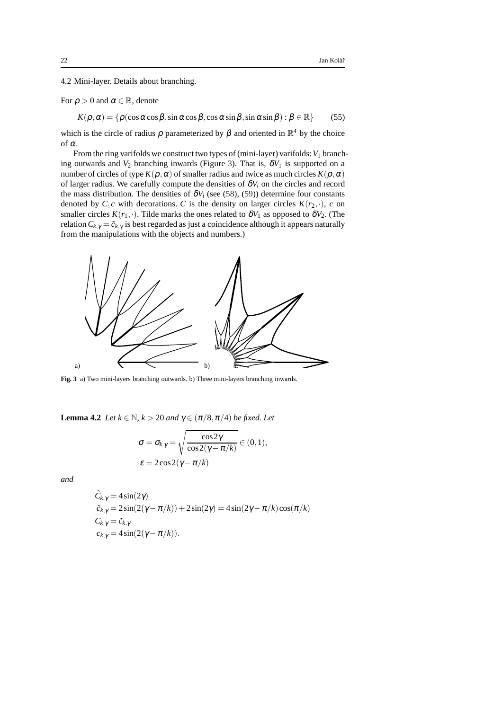<span id="page-21-0"></span>4.2 Mini-layer. Details about branching.

For  $\rho > 0$  and  $\alpha \in \mathbb{R}$ , denote

<span id="page-21-2"></span> $K(\rho, \alpha) = \{\rho(\cos\alpha\cos\beta, \sin\alpha\cos\beta, \cos\alpha\sin\beta, \sin\alpha\sin\beta) : \beta \in \mathbb{R}\}$  (55)

which is the circle of radius  $\rho$  parameterized by  $\beta$  and oriented in  $\mathbb{R}^4$  by the choice of <sup>α</sup>.

From the ring varifolds we construct two types of (mini-layer) varifolds:  $V_1$  branching outwards and  $V_2$  branching inwards (Figure [3\)](#page-21-1). That is,  $\delta V_1$  is supported on a number of circles of type  $K(\rho, \alpha)$  of smaller radius and twice as much circles  $K(\rho, \alpha)$ of larger radius. We carefully compute the densities of  $\delta V_i$  on the circles and record the mass distribution. The densities of  $\delta V_i$  (see [\(58\)](#page-22-0), [\(59\)](#page-22-1)) determine four constants denoted by  $C$ , *c* with decorations. *C* is the density on larger circles  $K(r_2, \cdot)$ , *c* on smaller circles  $K(r_1, \cdot)$ . Tilde marks the ones related to  $\delta V_1$  as opposed to  $\delta V_2$ . (The relation  $C_{k,\gamma} = \tilde{c}_{k,\gamma}$  is best regarded as just a coincidence although it appears naturally from the manipulations with the objects and numbers.)



<span id="page-21-1"></span>**Fig. 3** a) Two mini-layers branching outwards. b) Three mini-layers branching inwards.

<span id="page-21-3"></span>**Lemma 4.2** *Let*  $k \in \mathbb{N}$ *,*  $k > 20$  *and*  $\gamma \in (\pi/8, \pi/4)$  *be fixed. Let* 

$$
\sigma = \sigma_{k,\gamma} = \sqrt{\frac{\cos 2\gamma}{\cos 2(\gamma - \pi/k)}} \in (0,1),
$$
  

$$
\varepsilon = 2\cos 2(\gamma - \pi/k)
$$

*and*

$$
\tilde{C}_{k,\gamma} = 4 \sin(2\gamma)
$$
  
\n
$$
\tilde{c}_{k,\gamma} = 2 \sin(2(\gamma - \pi/k)) + 2 \sin(2\gamma) = 4 \sin(2\gamma - \pi/k) \cos(\pi/k)
$$
  
\n
$$
C_{k,\gamma} = \tilde{c}_{k,\gamma}
$$
  
\n
$$
c_{k,\gamma} = 4 \sin(2(\gamma - \pi/k)).
$$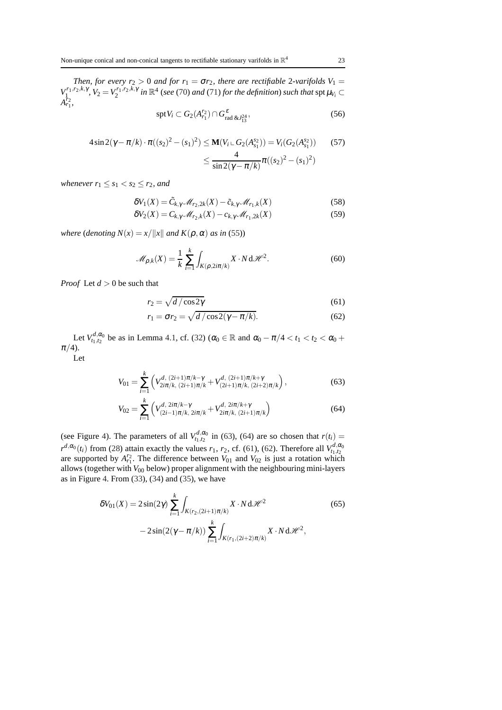*Then, for every*  $r_2 > 0$  *and for*  $r_1 = \sigma r_2$ *, there are rectifiable* 2*-varifolds*  $V_1 =$  $V_{1}^{r_1,r_2,k,\gamma}$ ,  $V_2 = V_2^{r_1,r_2,k,\gamma}$  *in*  $\mathbb{R}^4$  (*see* [\(70\)](#page-23-0) *and* [\(71\)](#page-23-1) *for the definition*) *such that*  $\text{spt}\,\mu_{V_i} \subset$  $A_{r_1}^{r_2}$ 

<span id="page-22-8"></span><span id="page-22-6"></span><span id="page-22-0"></span>
$$
\operatorname{spt} V_i \subset G_2(A_{r_1}^{r_2}) \cap G_{\text{rad\&J13}^{24}}^{\varepsilon},\tag{56}
$$

$$
4\sin 2(\gamma - \pi/k) \cdot \pi((s_2)^2 - (s_1)^2) \le \mathbf{M}(V_i \cup G_2(A_{s_1}^{s_2})) = V_i(G_2(A_{s_1}^{s_2})) \qquad (57)
$$
  

$$
\le \frac{4}{\sin 2(\gamma - \pi/k)} \pi((s_2)^2 - (s_1)^2)
$$

*whenever*  $r_1 \leq s_1 < s_2 \leq r_2$ *, and* 

$$
\delta V_1(X) = \tilde{C}_{k,\gamma} \mathcal{M}_{r_2,2k}(X) - \tilde{c}_{k,\gamma} \mathcal{M}_{r_1,k}(X) \tag{58}
$$

<span id="page-22-1"></span>
$$
\delta V_2(X) = C_{k,\gamma} \mathcal{M}_{r_2,k}(X) - c_{k,\gamma} \mathcal{M}_{r_1,2k}(X) \tag{59}
$$

*where* (*denoting*  $N(x) = x/||x||$  *and*  $K(\rho, \alpha)$  *as in* [\(55\)](#page-21-2))

<span id="page-22-7"></span>
$$
\mathcal{M}_{\rho,k}(X) = \frac{1}{k} \sum_{i=1}^k \int_{K(\rho, 2i\pi/k)} X \cdot N \, d\mathcal{H}^2.
$$
 (60)

*Proof* Let *d* > 0 be such that

<span id="page-22-4"></span>
$$
r_2 = \sqrt{d/\cos 2\gamma} \tag{61}
$$

<span id="page-22-5"></span><span id="page-22-3"></span><span id="page-22-2"></span>
$$
r_1 = \sigma r_2 = \sqrt{d/\cos 2(\gamma - \pi/k)}.
$$
 (62)

Let  $V_{t_1,t_2}^{d,\alpha_0}$  be as in Lemma [4.1,](#page-14-3) cf. [\(32\)](#page-15-1) ( $\alpha_0 \in \mathbb{R}$  and  $\alpha_0 - \pi/4 < t_1 < t_2 < \alpha_0 +$  $\pi/4$ ).

Let

$$
V_{01} = \sum_{i=1}^{k} \left( V_{2i\pi/k, (2i+1)\pi/k}^{d, (2i+1)\pi/k - \gamma} + V_{(2i+1)\pi/k, (2i+2)\pi/k}^{d, (2i+1)\pi/k + \gamma} \right),
$$
(63)

$$
V_{02} = \sum_{i=1}^{k} \left( V_{(2i-1)\pi/k, 2i\pi/k}^{d, 2i\pi/k - \gamma} + V_{2i\pi/k, (2i+1)\pi/k}^{d, 2i\pi/k + \gamma} \right)
$$
(64)

(see Figure [4\)](#page-23-2). The parameters of all  $V_{t_1,t_2}^{d,\alpha_0}$  in [\(63\)](#page-22-2), [\(64\)](#page-22-3) are so chosen that  $r(t_i)$  =  $r^{d, \alpha_0}(t_i)$  from [\(28\)](#page-14-2) attain exactly the values  $r_1$ ,  $r_2$ , cf. [\(61\)](#page-22-4), [\(62\)](#page-22-5). Therefore all  $V_{t_1, t_2}^{d, \alpha_0}$ are supported by  $A_{r_1}^{r_2}$ . The difference between  $V_{01}$  and  $V_{02}$  is just a rotation which allows (together with *V*<sup>00</sup> below) proper alignment with the neighbouring mini-layers as in Figure [4.](#page-23-2) From  $(33)$ ,  $(34)$  and  $(35)$ , we have

$$
\delta V_{01}(X) = 2\sin(2\gamma) \sum_{i=1}^{k} \int_{K(r_2, (2i+1)\pi/k)} X \cdot N \, d\mathcal{H}^2
$$
\n
$$
-2\sin(2(\gamma - \pi/k)) \sum_{i=1}^{k} \int_{K(r_1, (2i+2)\pi/k)} X \cdot N \, d\mathcal{H}^2,
$$
\n(65)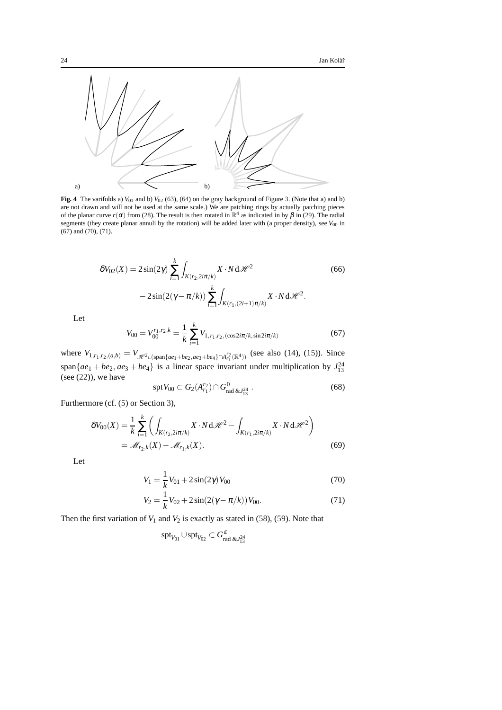

<span id="page-23-2"></span>**Fig. 4** The varifolds a)  $V_{01}$  and b)  $V_{02}$  [\(63\)](#page-22-2), [\(64\)](#page-22-3) on the gray background of Figure [3.](#page-21-1) (Note that a) and b) are not drawn and will not be used at the same scale.) We are patching rings by actually patching pieces of the planar curve  $r(\alpha)$  from [\(28\)](#page-14-2). The result is then rotated in  $\mathbb{R}^4$  as indicated in by  $\beta$  in [\(29\)](#page-14-1). The radial segments (they create planar annuli by the rotation) will be added later with (a proper density), see  $V_{00}$  in [\(67\)](#page-23-3) and [\(70\)](#page-23-0), [\(71\)](#page-23-1).

$$
\delta V_{02}(X) = 2\sin(2\gamma) \sum_{i=1}^{k} \int_{K(r_2, 2i\pi/k)} X \cdot N \, d\mathcal{H}^2
$$
\n
$$
-2\sin(2(\gamma - \pi/k)) \sum_{i=1}^{k} \int_{K(r_1, (2i+1)\pi/k)} X \cdot N \, d\mathcal{H}^2.
$$
\n(66)

Let

<span id="page-23-3"></span>
$$
V_{00} = V_{00}^{r_1, r_2, k} = \frac{1}{k} \sum_{i=1}^{k} V_{1, r_1, r_2, (\cos 2i\pi/k, \sin 2i\pi/k)}
$$
(67)

where  $V_{1,r_1,r_2,(a,b)} = V_{\mathscr{H}^2 \text{L}(\text{span}\{ae_1+be_2,ae_3+be_4\} \cap A_{r_1}^{r_2}(\mathbb{R}^4))}$  (see also [\(14\)](#page-10-2), [\(15\)](#page-10-3)). Since span $\{ae_1 + be_2, ae_3 + be_4\}$  is a linear space invariant under multiplication by  $J_{13}^{24}$ (see  $(22)$ ), we have

<span id="page-23-5"></span><span id="page-23-4"></span>
$$
\operatorname{spt} V_{00} \subset G_2(A_{r_1}^{r_2}) \cap G_{\text{rad \& l_{13}^{24}}}^0 \,. \tag{68}
$$

Furthermore (cf. [\(5\)](#page-7-1) or Section [3\)](#page-9-0),

$$
\delta V_{00}(X) = \frac{1}{k} \sum_{i=1}^{k} \left( \int_{K(r_2, 2i\pi/k)} X \cdot N \, d\mathcal{H}^2 - \int_{K(r_1, 2i\pi/k)} X \cdot N \, d\mathcal{H}^2 \right)
$$
  
=  $\mathcal{M}_{r_2,k}(X) - \mathcal{M}_{r_1,k}(X).$  (69)

Let

$$
V_1 = \frac{1}{k} V_{01} + 2\sin(2\gamma) V_{00}
$$
 (70)

$$
V_2 = \frac{1}{k} V_{02} + 2\sin(2(\gamma - \pi/k)) V_{00}.
$$
 (71)

Then the first variation of  $V_1$  and  $V_2$  is exactly as stated in [\(58\)](#page-22-0), [\(59\)](#page-22-1). Note that

<span id="page-23-1"></span><span id="page-23-0"></span>
$$
\operatorname{spt}_{V_{01}} \cup \operatorname{spt}_{V_{02}} \subset G^{\varepsilon}_{\text{rad \&J^2_{13}}}
$$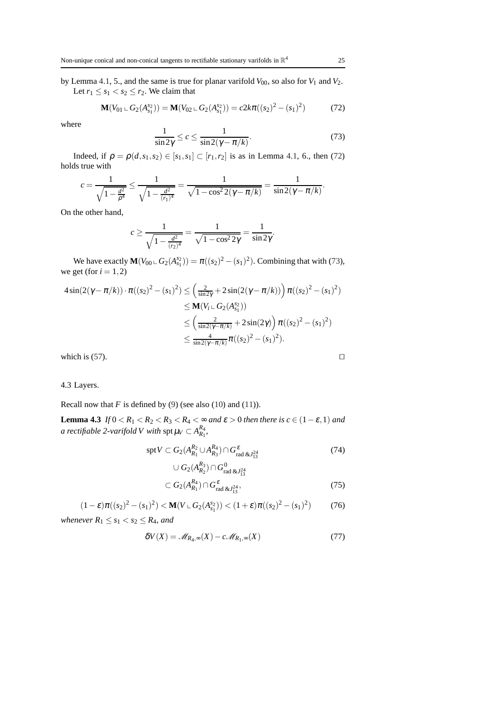by Lemma [4.1,](#page-14-3) 5., and the same is true for planar varifold  $V_{00}$ , so also for  $V_1$  and  $V_2$ . Let  $r_1 \leq s_1 < s_2 \leq r_2$ . We claim that

<span id="page-24-2"></span>
$$
\mathbf{M}(V_{01} \sqcup G_2(A_{s_1}^{s_2})) = \mathbf{M}(V_{02} \sqcup G_2(A_{s_1}^{s_2})) = c2k\pi((s_2)^2 - (s_1)^2)
$$
(72)

where

<span id="page-24-3"></span>
$$
\frac{1}{\sin 2\gamma} \le c \le \frac{1}{\sin 2(\gamma - \pi/k)}.\tag{73}
$$

Indeed, if  $\rho = \rho(d, s_1, s_2) \in [s_1, s_1] \subset [r_1, r_2]$  is as in Lemma [4.1,](#page-14-3) 6., then [\(72\)](#page-24-2) holds true with

$$
c = \frac{1}{\sqrt{1 - \frac{d^2}{\rho^4}}} \le \frac{1}{\sqrt{1 - \frac{d^2}{(r_1)^4}}} = \frac{1}{\sqrt{1 - \cos^2 2(\gamma - \pi/k)}} = \frac{1}{\sin 2(\gamma - \pi/k)}.
$$

On the other hand,

$$
c \ge \frac{1}{\sqrt{1 - \frac{d^2}{(r_2)^4}}} = \frac{1}{\sqrt{1 - \cos^2 2\gamma}} = \frac{1}{\sin 2\gamma}.
$$

We have exactly  $\mathbf{M}(V_{00} \cup G_2(A_{s_1}^{s_2})) = \pi((s_2)^2 - (s_1)^2)$ . Combining that with [\(73\)](#page-24-3), we get (for  $i = 1, 2$ )

$$
4\sin(2(\gamma - \pi/k)) \cdot \pi((s_2)^2 - (s_1)^2) \le \left(\frac{2}{\sin 2\gamma} + 2\sin(2(\gamma - \pi/k))\right) \pi((s_2)^2 - (s_1)^2)
$$
  

$$
\le \mathbf{M}(V_i \cup G_2(A_{s_1}^{s_2}))
$$
  

$$
\le \left(\frac{2}{\sin 2(\gamma - \pi/k)} + 2\sin(2\gamma)\right) \pi((s_2)^2 - (s_1)^2)
$$
  

$$
\le \frac{4}{\sin 2(\gamma - \pi/k)} \pi((s_2)^2 - (s_1)^2).
$$

which is [\(57\)](#page-22-6).  $□$ 

<span id="page-24-0"></span>4.3 Layers.

Recall now that  $F$  is defined by [\(9\)](#page-9-3) (see also [\(10\)](#page-9-4) and [\(11\)](#page-9-5)).

**Lemma 4.3** *If*  $0 < R_1 < R_2 < R_3 < R_4 < \infty$  *and*  $\varepsilon > 0$  *then there is*  $c \in (1 - \varepsilon, 1)$  *and a rectifiable 2-varifold V with*  $\mathop{\rm spt} \mu_V \subset A^{R_4}_{R_1}$ *,* 

$$
\mathrm{spt} V \subset G_2(A_{R_1}^{R_2} \cup A_{R_3}^{R_4}) \cap G_{\mathrm{rad \& J_{13}^{24}}}^{\varepsilon} \tag{74}
$$

<span id="page-24-7"></span><span id="page-24-5"></span><span id="page-24-1"></span>
$$
\cup G_2(A_{R_2}^{R_3}) \cap G_{\text{rad \& L^{24}_{13}}}^0
$$
  

$$
= G_2(A_{R_4}) \cap G^{\varepsilon}
$$
 (7)

$$
\subset G_2(A_{R_1}^{R_4}) \cap G_{\text{rad \& J_{13}^{24}}}^{\varepsilon},\tag{75}
$$

<span id="page-24-4"></span>
$$
(1 - \varepsilon)\pi((s_2)^2 - (s_1)^2) < \mathbf{M}(V \cup G_2(A_{s_1}^{s_2})) < (1 + \varepsilon)\pi((s_2)^2 - (s_1)^2) \tag{76}
$$

*whenever*  $R_1 \leq s_1 < s_2 \leq R_4$ *, and* 

<span id="page-24-6"></span>
$$
\delta V(X) = \mathcal{M}_{R_4,\infty}(X) - c \mathcal{M}_{R_1,\infty}(X) \tag{77}
$$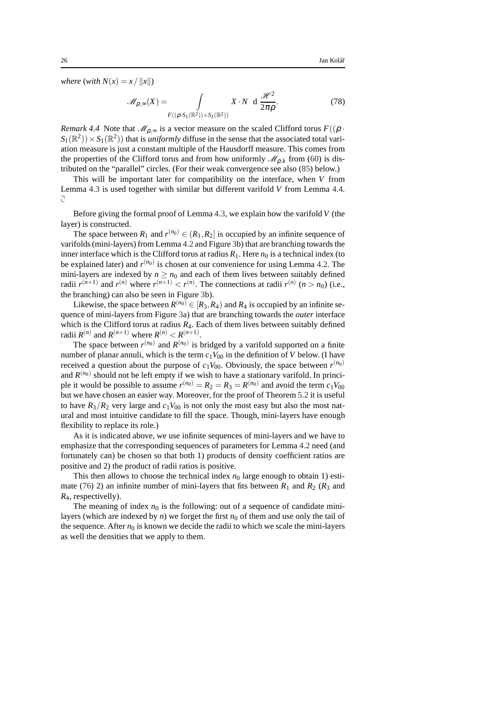*where* (*with*  $N(x) = x / ||x||$ )

<span id="page-25-0"></span>
$$
\mathcal{M}_{\rho,\infty}(X) = \int\limits_{F((\rho \cdot S_1(\mathbb{R}^2)) \times S_1(\mathbb{R}^2))} X \cdot N \, \mathrm{d} \, \frac{\mathcal{H}^2}{2\pi \rho}.
$$
 (78)

*Remark 4.4* Note that  $\mathcal{M}_{\rho,\infty}$  is a vector measure on the scaled Clifford torus  $F((\rho \cdot$  $S_1(\mathbb{R}^2)$  ×  $S_1(\mathbb{R}^2)$  that is *uniformly* diffuse in the sense that the associated total variation measure is just a constant multiple of the Hausdorff measure. This comes from the properties of the Clifford torus and from how uniformly  $\mathcal{M}_{\rho,k}$  from [\(60\)](#page-22-7) is distributed on the "parallel" circles. (For their weak convergence see also [\(85\)](#page-29-1) below.)

This will be important later for compatibility on the interface, when *V* from Lemma [4.3](#page-24-1) is used together with similar but different varifold *V* from Lemma [4.4.](#page-29-0) L,

Before giving the formal proof of Lemma [4.3,](#page-24-1) we explain how the varifold *V* (the layer) is constructed.

The space between  $R_1$  and  $r^{(n_0)} \in (R_1, R_2]$  is occupied by an infinite sequence of varifolds (mini-layers) from Lemma [4.2](#page-21-3) and Figure [3b](#page-21-1)) that are branching towards the inner interface which is the Clifford torus at radius  $R_1$ . Here  $n_0$  is a technical index (to be explained later) and  $r^{(n_0)}$  is chosen at our convenience for using Lemma [4.2.](#page-21-3) The mini-layers are indexed by  $n \geq n_0$  and each of them lives between suitably defined radii  $r^{(n+1)}$  and  $r^{(n)}$  where  $r^{(n+1)} < r^{(n)}$ . The connections at radii  $r^{(n)}$   $(n > n_0)$  (i.e., the branching) can also be seen in Figure [3b](#page-21-1)).

Likewise, the space between  $R^{(n_0)} \in [R_3, R_4)$  and  $R_4$  is occupied by an infinite sequence of mini-layers from Figure [3a](#page-21-1)) that are branching towards the *outer* interface which is the Clifford torus at radius  $R_4$ . Each of them lives between suitably defined radii  $R^{(n)}$  and  $R^{(n+1)}$  where  $R^{(n)} < R^{(n+1)}$ .

The space between  $r^{(n_0)}$  and  $R^{(n_0)}$  is bridged by a varifold supported on a finite number of planar annuli, which is the term  $c_1V_{00}$  in the definition of *V* below. (I have received a question about the purpose of  $c_1V_{00}$ . Obviously, the space between  $r^{(n_0)}$ and  $R^{(n_0)}$  should not be left empty if we wish to have a stationary varifold. In principle it would be possible to assume  $r^{(n_0)} = R_2 = R_3 = R^{(n_0)}$  and avoid the term  $c_1 V_{00}$ but we have chosen an easier way. Moreover, for the proof of Theorem [5.2](#page-34-0) it is useful to have  $R_3/R_2$  very large and  $c_1V_{00}$  is not only the most easy but also the most natural and most intuitive candidate to fill the space. Though, mini-layers have enough flexibility to replace its role.)

As it is indicated above, we use infinite sequences of mini-layers and we have to emphasize that the corresponding sequences of parameters for Lemma [4.2](#page-21-3) need (and fortunately can) be chosen so that both 1) products of density coefficient ratios are positive and 2) the product of radii ratios is positive.

This then allows to choose the technical index  $n_0$  large enough to obtain 1) esti-mate [\(76\)](#page-24-4) 2) an infinite number of mini-layers that fits between  $R_1$  and  $R_2$  ( $R_3$  and *R*4, respectivelly).

The meaning of index  $n_0$  is the following: out of a sequence of candidate minilayers (which are indexed by  $n$ ) we forget the first  $n_0$  of them and use only the tail of the sequence. After  $n_0$  is known we decide the radii to which we scale the mini-layers as well the densities that we apply to them.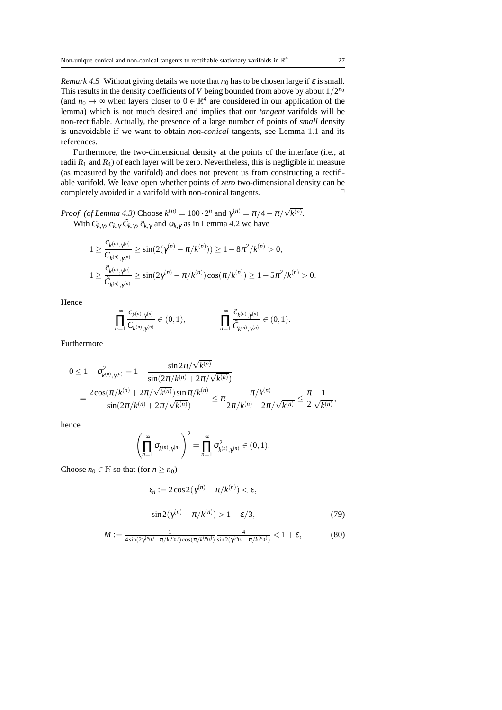*Remark 4.5* Without giving details we note that  $n_0$  has to be chosen large if  $\varepsilon$  is small. This results in the density coefficients of  $V$  being bounded from above by about  $1/2^{n_0}$ (and  $n_0 \to \infty$  when layers closer to  $0 \in \mathbb{R}^4$  are considered in our application of the lemma) which is not much desired and implies that our *tangent* varifolds will be non-rectifiable. Actually, the presence of a large number of points of *small* density is unavoidable if we want to obtain *non-conical* tangents, see Lemma [1.1](#page-4-3) and its references.

Furthermore, the two-dimensional density at the points of the interface (i.e., at radii  $R_1$  and  $R_4$ ) of each layer will be zero. Nevertheless, this is negligible in measure (as measured by the varifold) and does not prevent us from constructing a rectifiable varifold. We leave open whether points of *zero* two-dimensional density can be completely avoided in a varifold with non-conical tangents.  $\Box$ 

*Proof (of Lemma [4.3\)](#page-24-1)* Choose  $k^{(n)} = 100 \cdot 2^n$  and  $\gamma^{(n)} = \pi/4 - \pi/\sqrt{k^{(n)}}$ . With  $C_{k,\gamma}$ ,  $c_{k,\gamma}$ ,  $\tilde{C}_{k,\gamma}$ ,  $\tilde{c}_{k,\gamma}$  and  $\sigma_{k,\gamma}$  as in Lemma [4.2](#page-21-3) we have

$$
1 \geq \frac{c_{k^{(n)},\gamma^{(n)}}}{C_{k^{(n)},\gamma^{(n)}}} \geq \sin(2(\gamma^{(n)} - \pi/k^{(n)})) \geq 1 - 8\pi^2/k^{(n)} > 0,
$$
  

$$
1 \geq \frac{\tilde{c}_{k^{(n)},\gamma^{(n)}}}{\tilde{c}_{k^{(n)},\gamma^{(n)}}} \geq \sin(2\gamma^{(n)} - \pi/k^{(n)})\cos(\pi/k^{(n)}) \geq 1 - 5\pi^2/k^{(n)} > 0.
$$

Hence

$$
\prod_{n=1}^{\infty} \frac{c_{k^{(n)},\gamma^{(n)}}}{C_{k^{(n)},\gamma^{(n)}}} \in (0,1), \qquad \qquad \prod_{n=1}^{\infty} \frac{\tilde{c}_{k^{(n)},\gamma^{(n)}}}{\tilde{C}_{k^{(n)},\gamma^{(n)}}} \in (0,1).
$$

Furthermore

$$
0 \leq 1 - \sigma_{k^{(n)},\gamma^{(n)}}^2 = 1 - \frac{\sin 2\pi/\sqrt{k^{(n)}}}{\sin(2\pi/k^{(n)} + 2\pi/\sqrt{k^{(n)}})} = \frac{2\cos(\pi/k^{(n)} + 2\pi/\sqrt{k^{(n)}})\sin\pi/k^{(n)}}{\sin(2\pi/k^{(n)} + 2\pi/\sqrt{k^{(n)}})} \leq \pi \frac{\pi/k^{(n)}}{2\pi/k^{(n)} + 2\pi/\sqrt{k^{(n)}}} \leq \frac{\pi}{2} \frac{1}{\sqrt{k^{(n)}}},
$$

hence

$$
\left(\prod_{n=1}^{\infty} \sigma_{k^{(n)},\gamma^{(n)}}\right)^2 = \prod_{n=1}^{\infty} \sigma_{k^{(n)},\gamma^{(n)}}^2 \in (0,1).
$$

Choose  $n_0 \in \mathbb{N}$  so that (for  $n \ge n_0$ )

<span id="page-26-1"></span>
$$
\varepsilon_n := 2\cos 2(\gamma^{(n)} - \pi/k^{(n)}) < \varepsilon,
$$
\n
$$
\sin 2(\gamma^{(n)} - \pi/k^{(n)}) > 1 - \varepsilon/3,\tag{79}
$$

<span id="page-26-0"></span>
$$
M := \frac{1}{4\sin(2\gamma^{(n_0)} - \pi/k^{(n_0)})\cos(\pi/k^{(n_0)})} \frac{4}{\sin(2\gamma^{(n_0)} - \pi/k^{(n_0)})} < 1 + \varepsilon,\tag{80}
$$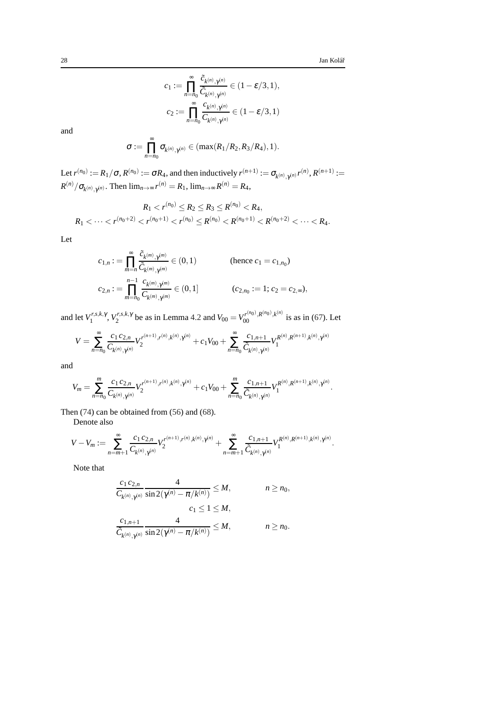$$
c_1 := \prod_{n=n_0}^{\infty} \frac{\tilde{c}_{k^{(n)},\gamma^{(n)}}}{\tilde{c}_{k^{(n)},\gamma^{(n)}}} \in (1 - \varepsilon/3, 1),
$$
  

$$
c_2 := \prod_{n=n_0}^{\infty} \frac{c_{k^{(n)},\gamma^{(n)}}}{C_{k^{(n)},\gamma^{(n)}}} \in (1 - \varepsilon/3, 1)
$$

and

$$
\sigma:=\prod_{n=n_0}^\infty \sigma_{k^{(n)},\gamma^{(n)}}\in(\max(R_1/R_2,R_3/R_4),1).
$$

Let  $r^{(n_0)} := R_1/\sigma, R^{(n_0)} := \sigma R_4$ , and then inductively  $r^{(n+1)} := \sigma_{k^{(n)}, \gamma^{(n)}} r^{(n)}, R^{(n+1)} :=$  $R^{(n)}/\sigma_{k^{(n)},\gamma^{(n)}}$ . Then  $\lim_{n\to\infty}r^{(n)} = R_1$ ,  $\lim_{n\to\infty}R^{(n)} = R_4$ ,

$$
R_1 < r^{(n_0)} \le R_2 \le R_3 \le R^{(n_0)} < R_4,
$$
  
\n
$$
R_1 < \cdots < r^{(n_0+2)} < r^{(n_0+1)} < r^{(n_0)} \le R^{(n_0)} < R^{(n_0+1)} < R^{(n_0+2)} < \cdots < R_4.
$$

Let

$$
c_{1,n} := \prod_{m=n}^{\infty} \frac{\tilde{c}_{k^{(m)},\gamma^{(m)}}}{\tilde{c}_{k^{(m)},\gamma^{(m)}}} \in (0,1)
$$
 (hence  $c_1 = c_{1,n_0}$ )  

$$
c_{2,n} := \prod_{m=n_0}^{n-1} \frac{c_{k^{(m)},\gamma^{(m)}}}{c_{k^{(m)},\gamma^{(m)}}} \in (0,1]
$$
 ( $c_{2,n_0} := 1$ ;  $c_2 = c_{2,\infty}$ ),

and let  $V_1^{r,s,k,\gamma}$ ,  $V_2^{r,s,k,\gamma}$  be as in Lemma [4.2](#page-21-3) and  $V_{00} = V_{00}^{r^{(n_0)},R^{(n_0)},k^{(n)}}$  is as in [\(67\)](#page-23-3). Let

$$
V = \sum_{n=n_0}^{\infty} \frac{c_1 c_{2,n}}{C_{k^{(n)},\gamma^{(n)}}} V_2^{r^{(n+1)},r^{(n)},k^{(n)},\gamma^{(n)}} + c_1 V_{00} + \sum_{n=n_0}^{\infty} \frac{c_{1,n+1}}{\tilde{C}_{k^{(n)},\gamma^{(n)}}} V_1^{R^{(n)},R^{(n+1)},k^{(n)},\gamma^{(n)}}
$$

and

$$
V_m = \sum_{n=n_0}^m \frac{c_1 c_{2,n}}{C_{k^{(n)},\gamma^{(n)}}} V_2^{r^{(n+1)},r^{(n)},k^{(n)},\gamma^{(n)}} + c_1 V_{00} + \sum_{n=n_0}^m \frac{c_{1,n+1}}{\tilde{C}_{k^{(n)},\gamma^{(n)}}} V_1^{R^{(n)},R^{(n+1)},k^{(n)},\gamma^{(n)}}.
$$

Then [\(74\)](#page-24-5) can be obtained from [\(56\)](#page-22-8) and [\(68\)](#page-23-4).

Denote also

$$
V-V_m:=\sum_{n=m+1}^{\infty}\frac{c_1\,c_{2,n}}{C_{k^{(n)},\gamma^{(n)}}}V_2^{r^{(n+1)},r^{(n)},k^{(n)},\gamma^{(n)}}+\sum_{n=m+1}^{\infty}\frac{c_{1,n+1}}{\tilde{C}_{k^{(n)},\gamma^{(n)}}}V_1^{R^{(n)},R^{(n+1)},k^{(n)},\gamma^{(n)}}.
$$

Note that

$$
\frac{c_1 c_{2,n}}{C_{k^{(n)}, \gamma^{(n)}}} \frac{4}{\sin 2(\gamma^{(n)} - \pi/k^{(n)})} \le M, \qquad n \ge n_0,
$$
  

$$
c_1 \le 1 \le M,
$$
  

$$
\frac{c_{1,n+1}}{\tilde{C}_{k^{(n)}, \gamma^{(n)}}} \frac{4}{\sin 2(\gamma^{(n)} - \pi/k^{(n)})} \le M, \qquad n \ge n_0.
$$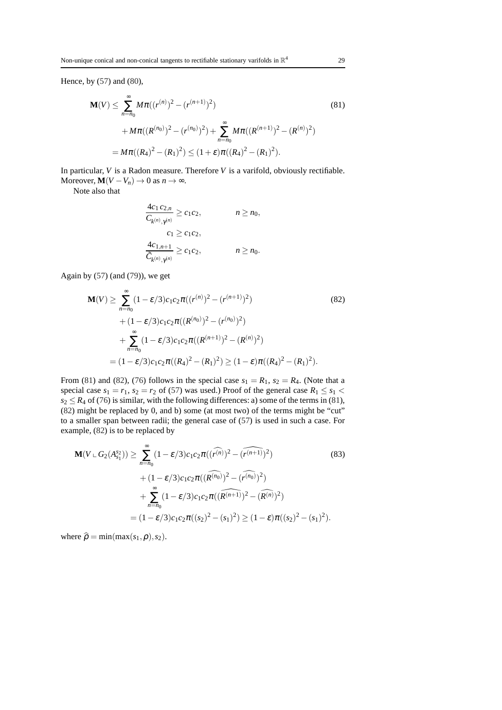Hence, by [\(57\)](#page-22-6) and [\(80\)](#page-26-0),

$$
\mathbf{M}(V) \leq \sum_{n=n_0}^{\infty} M \pi((r^{(n)})^2 - (r^{(n+1)})^2)
$$
(81)  
 
$$
+ M \pi((R^{(n_0)})^2 - (r^{(n_0)})^2) + \sum_{n=n_0}^{\infty} M \pi((R^{(n+1)})^2 - (R^{(n)})^2)
$$
  

$$
= M \pi((R_4)^2 - (R_1)^2) \leq (1+\varepsilon)\pi((R_4)^2 - (R_1)^2).
$$

In particular, *V* is a Radon measure. Therefore *V* is a varifold, obviously rectifiable. Moreover,  $\mathbf{M}(V - V_n) \to 0$  as  $n \to \infty$ .

Note also that

<span id="page-28-1"></span><span id="page-28-0"></span>
$$
\frac{4c_1 c_{2,n}}{C_{k^{(n)},\gamma^{(n)}}} \ge c_1 c_2,
$$
  
\n
$$
c_1 \ge c_1 c_2,
$$
  
\n
$$
\frac{4c_{1,n+1}}{C_{k^{(n)},\gamma^{(n)}}} \ge c_1 c_2,
$$
  
\n
$$
n \ge n_0.
$$

Again by  $(57)$  (and  $(79)$ ), we get

$$
\mathbf{M}(V) \geq \sum_{n=n_0}^{\infty} (1 - \varepsilon/3) c_1 c_2 \pi ((r^{(n)})^2 - (r^{(n+1)})^2)
$$
(82)  
+  $(1 - \varepsilon/3) c_1 c_2 \pi ((R^{(n_0)})^2 - (r^{(n_0)})^2)$   
+  $\sum_{n=n_0}^{\infty} (1 - \varepsilon/3) c_1 c_2 \pi ((R^{(n+1)})^2 - (R^{(n)})^2)$   
=  $(1 - \varepsilon/3) c_1 c_2 \pi ((R_4)^2 - (R_1)^2) \geq (1 - \varepsilon) \pi ((R_4)^2 - (R_1)^2).$ 

From [\(81\)](#page-28-0) and [\(82\)](#page-28-1), [\(76\)](#page-24-4) follows in the special case  $s_1 = R_1$ ,  $s_2 = R_4$ . (Note that a special case  $s_1 = r_1$ ,  $s_2 = r_2$  of [\(57\)](#page-22-6) was used.) Proof of the general case  $R_1 \leq s_1$  $s_2 \le R_4$  of [\(76\)](#page-24-4) is similar, with the following differences: a) some of the terms in [\(81\)](#page-28-0), [\(82\)](#page-28-1) might be replaced by 0, and b) some (at most two) of the terms might be "cut" to a smaller span between radii; the general case of [\(57\)](#page-22-6) is used in such a case. For example, [\(82\)](#page-28-1) is to be replaced by

$$
\mathbf{M}(V \sqcup G_{2}(A_{s_{1}}^{s_{2}})) \geq \sum_{n=n_{0}}^{\infty} (1 - \varepsilon/3) c_{1} c_{2} \pi((\widehat{r^{(n)}})^{2} - (\widehat{r^{(n+1)}})^{2})
$$
(83)  
 
$$
+ (1 - \varepsilon/3) c_{1} c_{2} \pi((\widehat{R^{(n_{0})}})^{2} - (\widehat{r^{(n_{0})}})^{2})
$$
  
 
$$
+ \sum_{n=n_{0}}^{\infty} (1 - \varepsilon/3) c_{1} c_{2} \pi((\widehat{R^{(n+1)}})^{2} - (\widehat{R^{(n)}})^{2})
$$
  
 
$$
= (1 - \varepsilon/3) c_{1} c_{2} \pi((s_{2})^{2} - (s_{1})^{2}) \geq (1 - \varepsilon) \pi((s_{2})^{2} - (s_{1})^{2}).
$$

where  $\hat{\rho} = \min(\max(s_1, \rho), s_2)$ .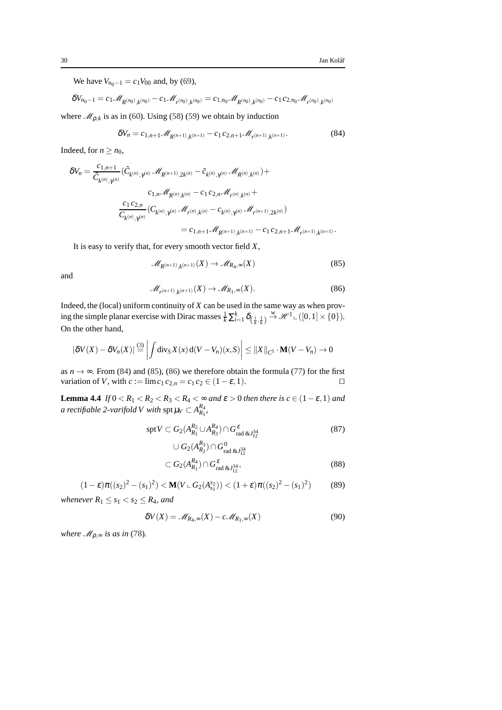We have  $V_{n_0-1} = c_1 V_{00}$  and, by [\(69\)](#page-23-5),

$$
\delta V_{n_0-1} = c_1 \mathcal{M}_{R^{(n_0)},k^{(n_0)}} - c_1 \mathcal{M}_{r^{(n_0)},k^{(n_0)}} = c_{1,n_0} \mathcal{M}_{R^{(n_0)},k^{(n_0)}} - c_1 c_{2,n_0} \mathcal{M}_{r^{(n_0)},k^{(n_0)}}
$$
  
where  $\mathcal{M}_{\rho,k}$  is as in (60). Using (58) (59) we obtain by induction

<span id="page-29-2"></span>
$$
\delta V_n = c_{1,n+1} \mathcal{M}_{R^{(n+1)},k^{(n+1)}} - c_1 c_{2,n+1} \mathcal{M}_{r^{(n+1)},k^{(n+1)}}.
$$
\n(84)

Indeed, for  $n \geq n_0$ ,

$$
\begin{aligned} \delta V_n&=\frac{c_{1,n+1}}{\tilde{C}_{k^{(n)},\gamma^{(n)}}}(\tilde{C}_{k^{(n)},\gamma^{(n)}}\mathcal{M}_{R^{(n+1)},2k^{(n)}}-\tilde{c}_{k^{(n)},\gamma^{(n)}}\mathcal{M}_{R^{(n)},k^{(n)}})+\\ &c_{1,n}\mathcal{M}_{R^{(n)},k^{(n)}}-c_1\,c_{2,n}\mathcal{M}_{r^{(n)},k^{(n)}}+\\ &\frac{c_1\,c_{2,n}}{C_{k^{(n)},\gamma^{(n)}}}(C_{k^{(n)},\gamma^{(n)}}\mathcal{M}_{r^{(n)},k^{(n)}}-c_{k^{(n)},\gamma^{(n)}}\mathcal{M}_{r^{(n+1)},2k^{(n)}})\\ &=c_{1,n+1}\mathcal{M}_{R^{(n+1)},k^{(n+1)}}-c_1\,c_{2,n+1}\mathcal{M}_{r^{(n+1)},k^{(n+1)}}.\end{aligned}
$$

It is easy to verify that, for every smooth vector field *X*,

<span id="page-29-3"></span><span id="page-29-1"></span>
$$
\mathcal{M}_{R^{(n+1)},k^{(n+1)}}(X) \to \mathcal{M}_{R_4,\infty}(X) \tag{85}
$$

and

$$
\mathcal{M}_{r^{(n+1)},k^{(n+1)}}(X) \to \mathcal{M}_{R_1,\infty}(X). \tag{86}
$$

Indeed, the (local) uniform continuity of  $X$  can be used in the same way as when proving the simple planar exercise with Dirac masses  $\frac{1}{k} \sum_{i=1}^{k} \delta_{\left(\frac{i}{k}, \frac{1}{k}\right)} \stackrel{w}{\rightarrow} \mathcal{H}^{1} \subset \left([0, 1] \times \{0\}\right)$ . On the other hand,

$$
\left|\delta V(X) - \delta V_n(X)\right| \stackrel{(3)}{=} \left| \int \mathrm{div}_S X(x) \, \mathrm{d}(V - V_n)(x, S) \right| \leq \left\| X \right\|_{C^1} \cdot \mathbf{M}(V - V_n) \to 0
$$

as *n* → ∞. From [\(84\)](#page-29-2) and [\(85\)](#page-29-1), [\(86\)](#page-29-3) we therefore obtain the formula [\(77\)](#page-24-6) for the first variation of *V*, with  $c := \lim_{\epsilon_1 \epsilon_2} c_2$ ,  $\epsilon_2 \epsilon_3 \epsilon_4 = c_1$ . variation of *V*, with  $c := \lim_{t \to \infty} c_1 c_{2,n} = c_1 c_2 \in (1 - \varepsilon, 1)$ .

<span id="page-29-0"></span>**Lemma 4.4** *If*  $0 < R_1 < R_2 < R_3 < R_4 < \infty$  *and*  $\varepsilon > 0$  *then there is*  $c \in (1 - \varepsilon, 1)$  *and a rectifiable 2-varifold V with*  $\mathop{\rm spt} \mu_V \subset A^{R_4}_{R_1}$ *,* 

$$
\operatorname{spt} V \subset G_2(A_{R_1}^{R_2} \cup A_{R_3}^{R_4}) \cap G_{\text{rad \& J_{12}^{34}}}^{\varepsilon} \tag{87}
$$

<span id="page-29-7"></span><span id="page-29-4"></span>
$$
\cup G_2(A_{R_2}^{R_3}) \cap G_{\text{rad \& J_{12}^{34}}}^0
$$
  

$$
\subset G_2(A_{R_1}^{R_4}) \cap G_{\text{rad \& J_{12}^{34}}}^{\epsilon},
$$
(88)

<span id="page-29-5"></span>
$$
(1 - \varepsilon)\pi((s_2)^2 - (s_1)^2) < \mathbf{M}(V \cup G_2(A_{s_1}^{s_2})) < (1 + \varepsilon)\pi((s_2)^2 - (s_1)^2) \tag{89}
$$

*whenever*  $R_1 \leq s_1 < s_2 \leq R_4$ *, and* 

<span id="page-29-6"></span>
$$
\delta V(X) = \mathcal{M}_{R_4,\infty}(X) - c \mathcal{M}_{R_1,\infty}(X) \tag{90}
$$

*where*  $\mathcal{M}_{\rho,\infty}$  *is as in* [\(78\)](#page-25-0).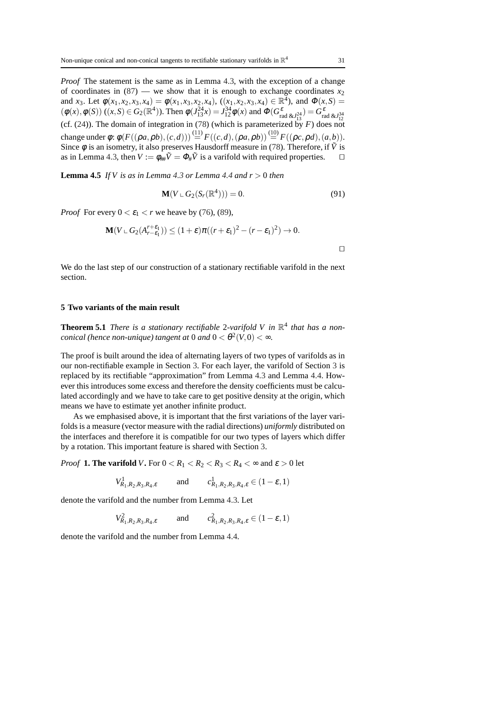*Proof* The statement is the same as in Lemma [4.3,](#page-24-1) with the exception of a change of coordinates in  $(87)$  — we show that it is enough to exchange coordinates  $x_2$ and *x*<sub>3</sub>. Let  $\phi(x_1, x_2, x_3, x_4) = \phi(x_1, x_3, x_2, x_4)$ ,  $((x_1, x_2, x_3, x_4) \in \mathbb{R}^4$ , and  $\Phi(x, S) =$  $(\phi(x), \phi(S)) ((x, S) \in G_2(\mathbb{R}^4))$ . Then  $\phi(J_{13}^{24}x) = J_{12}^{34} \phi(x)$  and  $\Phi(G_{rad \& J_{13}^{24}}^{\varepsilon} = G_{rad \& J_{12}^{34}}^{\varepsilon})$ (cf.  $(24)$ ). The domain of integration in [\(78\)](#page-25-0) (which is parameterized by *F*) does not change under  $\phi$ :  $\phi(F((\rho a, \rho b), (c, d))) \stackrel{(11)}{=} F((c, d), (\rho a, \rho b)) \stackrel{(10)}{=} F((\rho c, \rho d), (a, b)).$  $\phi(F((\rho a, \rho b), (c, d))) \stackrel{(11)}{=} F((c, d), (\rho a, \rho b)) \stackrel{(10)}{=} F((\rho c, \rho d), (a, b)).$  $\phi(F((\rho a, \rho b), (c, d))) \stackrel{(11)}{=} F((c, d), (\rho a, \rho b)) \stackrel{(10)}{=} F((\rho c, \rho d), (a, b)).$  $\phi(F((\rho a, \rho b), (c, d))) \stackrel{(11)}{=} F((c, d), (\rho a, \rho b)) \stackrel{(10)}{=} F((\rho c, \rho d), (a, b)).$  $\phi(F((\rho a, \rho b), (c, d))) \stackrel{(11)}{=} F((c, d), (\rho a, \rho b)) \stackrel{(10)}{=} F((\rho c, \rho d), (a, b)).$ Since  $\phi$  is an isometry, it also preserves Hausdorff measure in [\(78\)](#page-25-0). Therefore, if  $\tilde{V}$  is as in Lemma [4.3,](#page-24-1) then  $V := \phi_{\#} \tilde{V} = \Phi_{\#} \tilde{V}$  is a varifold with required properties.  $\Box$ 

**Lemma 4.5** *If V is as in Lemma [4.3](#page-24-1) or Lemma [4.4](#page-29-0) and*  $r > 0$  *then* 

<span id="page-30-2"></span>
$$
\mathbf{M}(V \sqcup G_2(S_r(\mathbb{R}^4))) = 0. \tag{91}
$$

*Proof* For every  $0 < \varepsilon_1 < r$  we heave by [\(76\)](#page-24-4), [\(89\)](#page-29-5),

$$
\mathbf{M}(V \cup G_2(A_{r-\varepsilon_1}^{r+\varepsilon_1})) \le (1+\varepsilon)\pi((r+\varepsilon_1)^2-(r-\varepsilon_1)^2) \to 0.
$$

We do the last step of our construction of a stationary rectifiable varifold in the next section.

#### <span id="page-30-1"></span><span id="page-30-0"></span>**5 Two variants of the main result**

**Theorem 5.1** *There is a stationary rectifiable* 2-varifold V in  $\mathbb{R}^4$  that has a non*conical (hence non-unique) tangent at*  $0$  *and*  $0 < \theta^2(V,0) < \infty$ .

The proof is built around the idea of alternating layers of two types of varifolds as in our non-rectifiable example in Section [3.](#page-9-0) For each layer, the varifold of Section [3](#page-9-0) is replaced by its rectifiable "approximation" from Lemma [4.3](#page-24-1) and Lemma [4.4.](#page-29-0) However this introduces some excess and therefore the density coefficients must be calculated accordingly and we have to take care to get positive density at the origin, which means we have to estimate yet another infinite product.

As we emphasised above, it is important that the first variations of the layer varifolds is a measure (vector measure with the radial directions) *uniformly* distributed on the interfaces and therefore it is compatible for our two types of layers which differ by a rotation. This important feature is shared with Section [3.](#page-9-0)

*Proof* **1. The varifold** *V***.** For  $0 < R_1 < R_2 < R_3 < R_4 < \infty$  and  $\varepsilon > 0$  let

$$
V_{R_1,R_2,R_3,R_4,\varepsilon}^1 \qquad \text{and} \qquad c_{R_1,R_2,R_3,R_4,\varepsilon}^1 \in (1-\varepsilon, 1)
$$

denote the varifold and the number from Lemma [4.3.](#page-24-1) Let

 $V_{R_1, R_2, R_3, R_4, \varepsilon}^2$ and *c*  $R_{1},R_{2},R_{3},R_{4},\varepsilon\in(1-\varepsilon,1)$ 

denote the varifold and the number from Lemma [4.4.](#page-29-0)

⊓⊔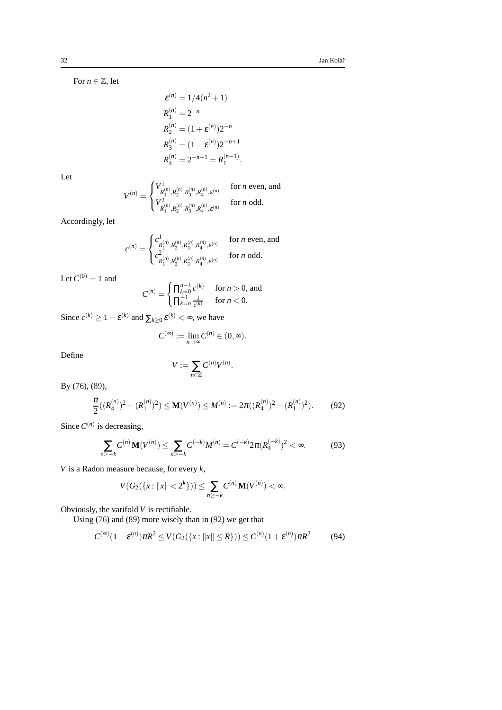For  $n \in \mathbb{Z}$ , let

$$
\varepsilon^{(n)} = 1/4(n^2 + 1)
$$
  
\n
$$
R_1^{(n)} = 2^{-n}
$$
  
\n
$$
R_2^{(n)} = (1 + \varepsilon^{(n)})2^{-n}
$$
  
\n
$$
R_3^{(n)} = (1 - \varepsilon^{(n)})2^{-n+1}
$$
  
\n
$$
R_4^{(n)} = 2^{-n+1} = R_1^{(n-1)}.
$$

Let

$$
V^{(n)} = \begin{cases} V^1_{R_1^{(n)}, R_2^{(n)}, R_3^{(n)}, R_4^{(n)}, \varepsilon^{(n)}} & \text{for $n$ even, and} \\ V^2_{R_1^{(n)}, R_2^{(n)}, R_3^{(n)}, R_4^{(n)}, \varepsilon^{(n)}} & \text{for $n$ odd.} \end{cases}
$$

Accordingly, let

$$
c^{(n)} = \begin{cases} c^1_{R_1^{(n)},R_2^{(n)},R_3^{(n)},R_4^{(n)},\varepsilon^{(n)}} & \text{for } n \text{ even, and} \\ c^2_{R_1^{(n)},R_2^{(n)},R_3^{(n)},R_4^{(n)},\varepsilon^{(n)}} & \text{for } n \text{ odd.} \end{cases}
$$

Let  $C^{(0)} = 1$  and

$$
C^{(n)} = \begin{cases} \prod_{k=0}^{n-1} c^{(k)} & \text{for } n > 0, \text{ and} \\ \prod_{k=n}^{-1} \frac{1}{c^{(k)}} & \text{for } n < 0. \end{cases}
$$

Since  $c^{(k)} \ge 1 - \varepsilon^{(k)}$  and  $\sum_{k \ge 0} \varepsilon^{(k)} < \infty$ , we have

$$
C^{(\infty)}:=\lim_{n\to\infty}C^{(n)}\in(0,\infty).
$$

Define

$$
V:=\sum_{n\in\mathbb{Z}}C^{(n)}V^{(n)}.
$$

By [\(76\)](#page-24-4), [\(89\)](#page-29-5),

<span id="page-31-0"></span>
$$
\frac{\pi}{2}((R_4^{(n)})^2 - (R_1^{(n)})^2) \le \mathbf{M}(V^{(n)}) \le M^{(n)} := 2\pi((R_4^{(n)})^2 - (R_1^{(n)})^2). \tag{92}
$$

Since  $C^{(n)}$  is decreasing,

<span id="page-31-1"></span>
$$
\sum_{n\geq -k} C^{(n)} \mathbf{M}(V^{(n)}) \leq \sum_{n\geq -k} C^{(-k)} M^{(n)} = C^{(-k)} 2\pi (R_4^{(-k)})^2 < \infty. \tag{93}
$$

*V* is a Radon measure because, for every *k*,

$$
V(G_2({x: ||x|| < 2k})) \leq \sum_{n \geq -k} C^{(n)} \mathbf{M}(V^{(n)}) < \infty.
$$

Obviously, the varifold *V* is rectifiable.

Using [\(76\)](#page-24-4) and [\(89\)](#page-29-5) more wisely than in [\(92\)](#page-31-0) we get that

$$
C^{(\infty)}(1-\varepsilon^{(n)})\pi R^2 \le V(G_2(\{x: ||x|| \le R\})) \le C^{(n)}(1+\varepsilon^{(n)})\pi R^2 \tag{94}
$$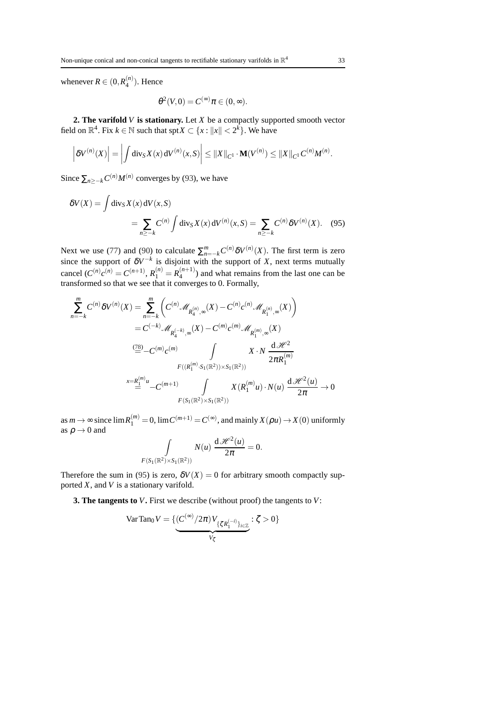<span id="page-32-0"></span>
$$
\theta^2(V,0)=C^{(\infty)}\pi\in(0,\infty).
$$

**2. The varifold** *V* **is stationary.** Let *X* be a compactly supported smooth vector field on  $\mathbb{R}^4$ . Fix  $k \in \mathbb{N}$  such that  $\text{spr} X \subset \{x : ||x|| < 2^k\}$ . We have

$$
\left| \delta V^{(n)}(X) \right| = \left| \int \mathrm{div}_S X(x) \, \mathrm{d} V^{(n)}(x, S) \right| \leq ||X||_{C^1} \cdot \mathbf{M}(V^{(n)}) \leq ||X||_{C^1} C^{(n)} M^{(n)}.
$$

Since  $\sum_{n \geq -k} C^{(n)} M^{(n)}$  converges by [\(93\)](#page-31-1), we have

 $\binom{n}{4}$ . Hence

whenever  $R \in (0, R_4^{(n)})$ 

$$
\delta V(X) = \int \text{div}_S X(x) \, \text{d}V(x, S)
$$
  
= 
$$
\sum_{n \geq -k} C^{(n)} \int \text{div}_S X(x) \, \text{d}V^{(n)}(x, S) = \sum_{n \geq -k} C^{(n)} \delta V^{(n)}(X). \quad (95)
$$

Next we use [\(77\)](#page-24-6) and [\(90\)](#page-29-6) to calculate  $\sum_{n=-k}^{m} C^{(n)} \delta V^{(n)}(X)$ . The first term is zero since the support of  $\delta V^{-k}$  is disjoint with the support of *X*, next terms mutually cancel  $(C^{(n)}c^{(n)} = C^{(n+1)}, R_1^{(n)} = R_4^{(n+1)}$  $\binom{n+1}{4}$  and what remains from the last one can be transformed so that we see that it converges to 0. Formally,

$$
\sum_{n=-k}^{m} C^{(n)} \delta V^{(n)}(X) = \sum_{n=-k}^{m} \left( C^{(n)} \mathcal{M}_{R_4^{(n)}, \infty}(X) - C^{(n)} c^{(n)} \mathcal{M}_{R_1^{(n)}, \infty}(X) \right)
$$
  

$$
= C^{(-k)} \mathcal{M}_{R_4^{(-k)}, \infty}(X) - C^{(m)} c^{(m)} \mathcal{M}_{R_1^{(m)}, \infty}(X)
$$
  

$$
\stackrel{(78)}{=} -C^{(m)} c^{(m)} \qquad \int \qquad X \cdot N \frac{d \mathcal{H}^2}{2 \pi R_1^{(m)}}
$$
  

$$
F((R_1^{(m)} \cdot S_1(\mathbb{R}^2)) \times S_1(\mathbb{R}^2))
$$
  

$$
\stackrel{x=R_1^{(m)}u}{=} -C^{(m+1)} \qquad \int \qquad X(R_1^{(m)} u) \cdot N(u) \frac{d \mathcal{H}^2(u)}{2 \pi} \to 0
$$
  

$$
F(S_1(\mathbb{R}^2) \times S_1(\mathbb{R}^2))
$$

as  $m \to \infty$  since  $\lim_{n \to \infty} R_1^{(m)} = 0$ ,  $\lim_{n \to \infty} C^{(m+1)} = C^{(\infty)}$ , and mainly  $X(\rho u) \to X(0)$  uniformly as  $\rho \rightarrow 0$  and

$$
\int\limits_{F(S_1(\mathbb{R}^2)\times S_1(\mathbb{R}^2))} N(u) \frac{\mathrm{d}\mathcal{H}^2(u)}{2\pi} = 0.
$$

Therefore the sum in [\(95\)](#page-32-0) is zero,  $\delta V(X) = 0$  for arbitrary smooth compactly supported *X*, and *V* is a stationary varifold.

**3. The tangents to** *V***.** First we describe (without proof) the tangents to *V*:

$$
\operatorname{VarTan}_{0} V = \{ \underbrace{(C^{(\infty)}/2\pi) V_{\{\zeta R_{1}^{(-i)}\}_{i\in\mathbb{Z}}}}: \zeta > 0 \}
$$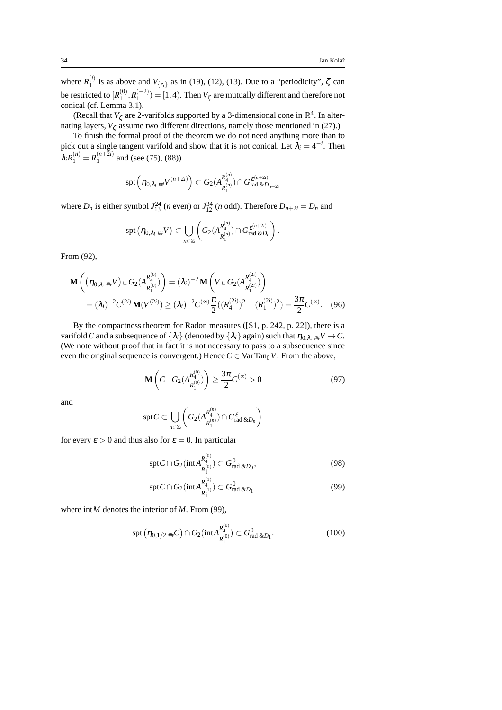where  $R_1^{(i)}$ <sup>(*i*</sup>) is as above and  $V_{\{r_i\}}$  as in [\(19\)](#page-11-1), [\(12\)](#page-10-0), [\(13\)](#page-10-1). Due to a "periodicity",  $\zeta$  can be restricted to  $[R_1^{(0)}]$  $\binom{0}{1}, R_1^{(-2)}$  = [1, 4). Then  $V_\zeta$  are mutually different and therefore not conical (cf. Lemma [3.1\)](#page-12-3).

(Recall that  $V_{\zeta}$  are 2-varifolds supported by a 3-dimensional cone in  $\mathbb{R}^{4}$ . In alternating layers,  $V_{\zeta}$  assume two different directions, namely those mentioned in [\(27\)](#page-13-0).)

To finish the formal proof of the theorem we do not need anything more than to pick out a single tangent varifold and show that it is not conical. Let  $\lambda_i = 4^{-i}$ . Then  $\lambda_i R_1^{(n)} = R_1^{(n+2i)}$  $1^{(n+2i)}$  and (see [\(75\)](#page-24-7), [\(88\)](#page-29-7))

spt <sup>η</sup>0,λ*<sup>i</sup>* ##*V* (*n*+2*i*) ⊂ *G*2(*A R* (*n*) 4 *R* (*n*) 1 )∩*G* ε (*n*+2*i*) rad &*Dn*+2*<sup>i</sup>*

where  $D_n$  is either symbol  $J_{13}^{24}$  (*n* even) or  $J_{12}^{34}$  (*n* odd). Therefore  $D_{n+2i} = D_n$  and

$$
\operatorname{spt} \big(\eta_{0,\lambda_i \text{ HH}} V \big) \subset \bigcup_{n \in \mathbb{Z}} \left( G_2(A^{R^{(n)}_4}_{R^{(n)}_1}) \cap G^{\varepsilon^{(n+2i)}}_{\operatorname{rad} \& D_n} \right).
$$

From [\(92\)](#page-31-0),

$$
\mathbf{M}\left((\eta_{0,\lambda_i} {}_{\#} V) \,\mathop{\cup}\, G_2(A_{R_1^{(0)}}^{R_4^{(0)}})\right) = (\lambda_i)^{-2} \mathbf{M}\left(V \,\mathop{\cup}\, G_2(A_{R_1^{(2i)}}^{R_4^{(2i)}})\right)
$$
\n
$$
= (\lambda_i)^{-2} C^{(2i)} \mathbf{M}(V^{(2i)}) \ge (\lambda_i)^{-2} C^{(\infty)} \frac{\pi}{2} ((R_4^{(2i)})^2 - (R_1^{(2i)})^2) = \frac{3\pi}{2} C^{(\infty)}.\tag{96}
$$

By the compactness theorem for Radon measures ([\[S1,](#page-36-10) p. 242, p. 22]), there is a varifold *C* and a subsequence of  $\{\lambda_i\}$  (denoted by  $\{\lambda_i\}$  again) such that  $\eta_{0,\lambda_i}$  # $V \to C$ . (We note without proof that in fact it is not necessary to pass to a subsequence since even the original sequence is convergent.) Hence  $C \in \text{VarTan}_0 V$ . From the above,

<span id="page-33-3"></span>
$$
\mathbf{M}\left(C \sqcup G_{2}(A_{R_{1}^{(0)}}^{R_{4}^{(0)}})\right) \geq \frac{3\pi}{2}C^{(\infty)} > 0
$$
\n(97)

and

$$
\text{spt} C \subset \bigcup_{n \in \mathbb{Z}} \left( G_2(A^{R_4^{(n)}}_{R_1^{(n)}}) \cap G_{\text{rad\ \&D_n}}^{\varepsilon} \right)
$$

for every  $\varepsilon > 0$  and thus also for  $\varepsilon = 0$ . In particular

<span id="page-33-1"></span>
$$
\text{spt} C \cap G_2(\text{int} A_{R_1^{(0)}}^{R_4^{(0)}}) \subset G_{\text{rad \& D_0}}^0,\tag{98}
$$

<span id="page-33-0"></span>
$$
\text{spt} C \cap G_2(\text{int} A_{R_1^{(1)}}^{R_4^{(1)}}) \subset G_{\text{rad \& D_1}}^0 \tag{99}
$$

where int*M* denotes the interior of *M*. From [\(99\)](#page-33-0),

<span id="page-33-2"></span>
$$
\mathrm{spt}\left(\eta_{0,1/2\;\#}\mathcal{C}\right)\cap G_2(\mathrm{int}A_{R_1^{(0)}}^{R_4^{(0)}})\subset G_{\mathrm{rad}\;\&D_1}^0.\tag{100}
$$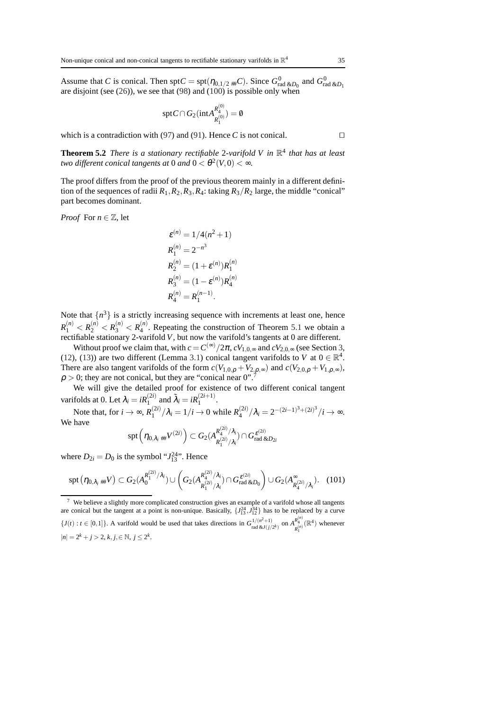Assume that *C* is conical. Then  $\text{spt}C = \text{spt}(\eta_{0,1/2 \#}C)$ . Since  $G_{\text{rad \&D_0}}^0$  and  $G_{\text{rad \&D_1}}^0$  are disjoint (see [\(26\)](#page-13-1)), we see that [\(98\)](#page-33-1) and [\(100\)](#page-33-2) is possible only when

$$
\text{spt} C \cap G_2(\text{int} A_{R_1^{(0)}}^{R_4^{(0)}}) = \emptyset
$$

<span id="page-34-0"></span>which is a contradiction with [\(97\)](#page-33-3) and [\(91\)](#page-30-2). Hence *C* is not conical.  $□$ 

**Theorem 5.2** *There is a stationary rectifiable* 2*-varifold V in* R 4 *that has at least two different conical tangents at*  $0$  *and*  $0 < \theta^2(V,0) < \infty$ .

The proof differs from the proof of the previous theorem mainly in a different definition of the sequences of radii  $R_1$ ,  $R_2$ ,  $R_3$ ,  $R_4$ : taking  $R_3/R_2$  large, the middle "conical" part becomes dominant.

*Proof* For  $n \in \mathbb{Z}$ , let

$$
\varepsilon^{(n)} = 1/4(n^2 + 1)
$$
  
\n
$$
R_1^{(n)} = 2^{-n^3}
$$
  
\n
$$
R_2^{(n)} = (1 + \varepsilon^{(n)})R_1^{(n)}
$$
  
\n
$$
R_3^{(n)} = (1 - \varepsilon^{(n)})R_4^{(n)}
$$
  
\n
$$
R_4^{(n)} = R_1^{(n-1)}
$$

Note that  $\{n^3\}$  is a strictly increasing sequence with increments at least one, hence  $R_1^{(n)} < R_2^{(n)} < R_3^{(n)} < R_4^{(n)}$  $\binom{n}{4}$ . Repeating the construction of Theorem [5.1](#page-30-1) we obtain a rectifiable stationary 2-varifold *V*, but now the varifold's tangents at 0 are different.

Without proof we claim that, with  $c = C^{(\infty)}/2\pi$ ,  $cV_{1,0,\infty}$  and  $cV_{2,0,\infty}$  (see Section [3,](#page-9-0) [\(12\)](#page-10-0), [\(13\)](#page-10-1)) are two different (Lemma [3.1\)](#page-12-3) conical tangent varifolds to *V* at  $0 \in \mathbb{R}^4$ . There are also tangent varifolds of the form  $c(V_{1,0,\rho} + V_{2,\rho,\infty})$  and  $c(V_{2,0,\rho} + V_{1,\rho,\infty})$ ,  $\rho > 0$ ; they are not conical, but they are "conical near 0".

We will give the detailed proof for existence of two different conical tangent varifolds at 0. Let  $\lambda_i = iR_1^{(2i)}$  and  $\tilde{\lambda}_i = iR_1^{(2i+1)}$ .

Note that, for  $i \to \infty$ ,  $R_1^{(2i)}$  $1 \choose 1} / \lambda_i = 1/i \rightarrow 0$  while  $R_4^{(2i)}$  $\frac{(2i)}{4}/\lambda_i = 2^{-(2i-1)^3 + (2i)^3}/i \to \infty.$ We have

$$
\operatorname{spt}\left(\eta_{0,\lambda_i}\# V^{(2i)}\right) \subset G_2(A^{{R^{(2i)}_{4} / \lambda_i}}_{R^{(2i)}_1 / \lambda_i}) \cap G_{\text{rad \& D_{2i}}^{\varepsilon^{(2i)}}
$$

where  $D_{2i} = D_0$  is the symbol " $J_{13}^{24}$ ". Hence

<span id="page-34-2"></span>
$$
\operatorname{spt}(\eta_{0,\lambda_i \#} V) \subset G_2(A_0^{R_1^{(2i)}/\lambda_i}) \cup \left( G_2(A_{R_1^{(2i)}/\lambda_i}^{R_4^{(2i)}/\lambda_i}) \cap G_{\text{rad \& D_0}}^{\varepsilon^{(2i)}} \right) \cup G_2(A_{R_4^{(2i)}/\lambda_i}^{\infty}). \quad (101)
$$

<span id="page-34-1"></span><sup>7</sup> We believe a slightly more complicated construction gives an example of a varifold whose all tangents are conical but the tangent at a point is non-unique. Basically,  $\{J_{13}^{24}, J_{12}^{34}\}$  has to be replaced by a curve  $\{J(t): t \in [0,1]\}$ . A varifold would be used that takes directions in  $G_{\text{rad\&tJ(j/2^k)}^{1/(n^2+1)}$  on  $A_{R_1^{(n)}}^{R_4^{(n)}}(\mathbb{R}^4)$  whenever  $|n| = 2^k + j > 2, k, j \in \mathbb{N}, j \leq 2^k$ .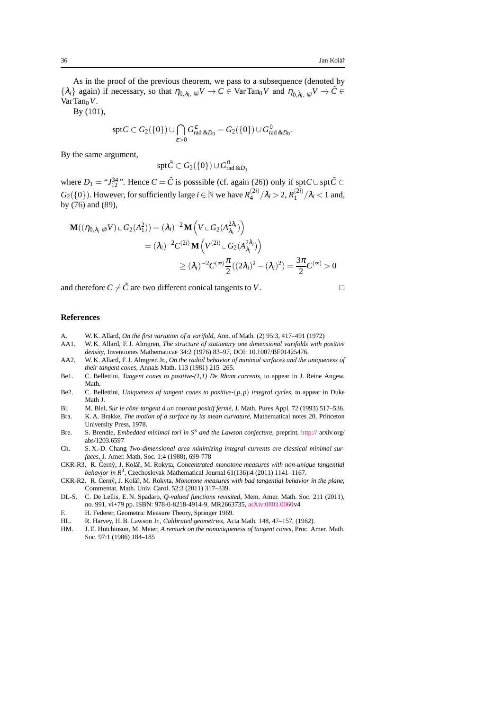As in the proof of the previous theorem, we pass to a subsequence (denoted by  $\{\lambda_i\}$  again) if necessary, so that  $\eta_{0,\lambda_i, \#i}V \to C \in \text{VarTan}_0V$  and  $\eta_{0,\tilde{\lambda}_i, \#i}V \to \tilde{C} \in$ VarTan<sub>0</sub>V.

By [\(101\)](#page-34-2),

$$
\operatorname{spt} C \subset G_2(\{0\}) \cup \bigcap_{\varepsilon > 0} G_{\text{rad\ \&D_0}}^{\varepsilon} = G_2(\{0\}) \cup G_{\text{rad\ \&D_0}}^0.
$$

By the same argument,

$$
\operatorname{spt} \tilde{C} \subset G_2(\{0\}) \cup G_{\text{rad\ \&D_1}}^0
$$

where  $D_1 = \mathcal{F}^{\{34\}}_{12}$ . Hence  $C = \tilde{C}$  is posssible (cf. again [\(26\)](#page-13-1)) only if spt $C \cup \text{spt} \tilde{C}$  ⊂  $G_2({0})$ . However, for sufficiently large  $i \in \mathbb{N}$  we have  $R_4^{(2i)}$  $\lambda_4^{(2i)}/\lambda_i > 2, R_1^{(2i)}$  $\int_1^{(2i)}/\lambda_i$  < 1 and, by [\(76\)](#page-24-4) and [\(89\)](#page-29-5),

$$
\mathbf{M}((\eta_{0,\lambda_i \#^{i}} V) \cup G_2(A_1^2)) = (\lambda_i)^{-2} \mathbf{M} \left( V \cup G_2(A_{\lambda_i}^{2\lambda_i}) \right)
$$
  
=  $(\lambda_i)^{-2} C^{(2i)} \mathbf{M} \left( V^{(2i)} \cup G_2(A_{\lambda_i}^{2\lambda_i}) \right)$   
 $\geq (\lambda_i)^{-2} C^{(\infty)} \frac{\pi}{2} ((2\lambda_i)^2 - (\lambda_i)^2) = \frac{3\pi}{2} C^{(\infty)} > 0$ 

and therefore  $C \neq \tilde{C}$  are two different conical tangents to *V*. □

# **References**

- <span id="page-35-9"></span>A. W. K. Allard, *On the first variation of a varifold,* Ann. of Math. (2) 95:3, 417–491 (1972)
- <span id="page-35-3"></span>AA1. W. K. Allard, F. J. Almgren, *The structure of stationary one dimensional varifolds with positive density*, Inventiones Mathematicae 34:2 (1976) 83–97, DOI: 10.1007/BF01425476.
- <span id="page-35-6"></span>AA2. W. K. Allard, F. J. Almgren Jr., *On the radial behavior of minimal surfaces and the uniqueness of their tangent cones*, Annals Math. 113 (1981) 215–265.
- <span id="page-35-4"></span>Be1. C. Bellettini, *Tangent cones to positive-(1,1) De Rham currents*, to appear in J. Reine Angew. Math.
- <span id="page-35-5"></span>Be2. C. Bellettini, *Uniqueness of tangent cones to positive-*(*p*, *p*) *integral cycles*, to appear in Duke Math J.
- <span id="page-35-11"></span>Bl. M. Blel, *Sur le cône tangent à un courant positif fermé*, J. Math. Pures Appl. 72 (1993) 517-536.
- <span id="page-35-0"></span>Bra. K. A. Brakke, *The motion of a surface by its mean curvature*, Mathematical notes 20, Princeton University Press, 1978.
- <span id="page-35-13"></span>Bre. S. Brendle, *Embedded minimal tori in S*<sup>3</sup> *and the Lawson conjecture,* preprint, [http://](http://\penalty 9999\relax ) arxiv.org/ abs/1203.6597
- <span id="page-35-1"></span>Ch. S. X.-D. Chang *Two-dimensional area minimizing integral currents are classical minimal surfaces*, J. Amer. Math. Soc. 1:4 (1988), 699-778
- <span id="page-35-8"></span>CKR-R3. R. Černý, J. Kolář, M. Rokyta, Concentrated monotone measures with non-unique tangential *behavior in R*<sup>3</sup>, Czechoslovak Mathematical Journal 61(136):4 (2011) 1141–1167.
- <span id="page-35-7"></span>CKR-R2. R. Černý, J. Kolář, M. Rokyta, Monotone measures with bad tangential behavior in the plane, Commentat. Math. Univ. Carol. 52:3 (2011) 317–339.
- <span id="page-35-2"></span>DL-S. C. De Lellis, E. N. Spadaro, *Q-valued functions revisited*, Mem. Amer. Math. Soc. 211 (2011), no. 991, vi+79 pp. ISBN: 978-0-8218-4914-9, MR2663735, [arXiv:0803.0060v](http://arxiv.org/abs/0803.0060)4
- <span id="page-35-12"></span>F. H. Federer, Geometric Measure Theory, Springer 1969.
- HL. R. Harvey, H. B. Lawson Jr., *Calibrated geometries*, Acta Math. 148, 47–157, (1982).
- <span id="page-35-10"></span>HM. J. E. Hutchinson, M. Meier, *A remark on the nonuniqueness of tangent cones*, Proc. Amer. Math. Soc. 97:1 (1986) 184–185